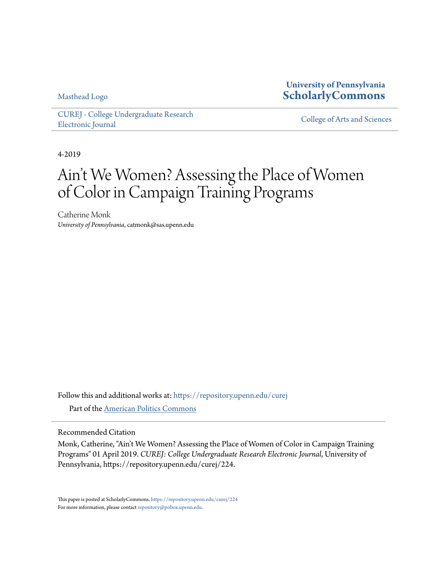Masthead Logo

**University of Pennsylvania [ScholarlyCommons](https://repository.upenn.edu?utm_source=repository.upenn.edu%2Fcurej%2F224&utm_medium=PDF&utm_campaign=PDFCoverPages)**

[CUREJ - College Undergraduate Research](https://repository.upenn.edu/curej?utm_source=repository.upenn.edu%2Fcurej%2F224&utm_medium=PDF&utm_campaign=PDFCoverPages) [Electronic Journal](https://repository.upenn.edu/curej?utm_source=repository.upenn.edu%2Fcurej%2F224&utm_medium=PDF&utm_campaign=PDFCoverPages) [College of Arts and Sciences](https://repository.upenn.edu/college?utm_source=repository.upenn.edu%2Fcurej%2F224&utm_medium=PDF&utm_campaign=PDFCoverPages)

4-2019

# Ain't We Women? Assessing the Place of Women of Color in Campaign Training Programs

Catherine Monk *University of Pennsylvania*, catmonk@sas.upenn.edu

Follow this and additional works at: [https://repository.upenn.edu/curej](https://repository.upenn.edu/curej?utm_source=repository.upenn.edu%2Fcurej%2F224&utm_medium=PDF&utm_campaign=PDFCoverPages) Part of the [American Politics Commons](http://network.bepress.com/hgg/discipline/387?utm_source=repository.upenn.edu%2Fcurej%2F224&utm_medium=PDF&utm_campaign=PDFCoverPages)

Recommended Citation

Monk, Catherine, "Ain't We Women? Assessing the Place of Women of Color in Campaign Training Programs" 01 April 2019. *CUREJ: College Undergraduate Research Electronic Journal*, University of Pennsylvania, https://repository.upenn.edu/curej/224.

This paper is posted at ScholarlyCommons. <https://repository.upenn.edu/curej/224> For more information, please contact [repository@pobox.upenn.edu.](mailto:repository@pobox.upenn.edu)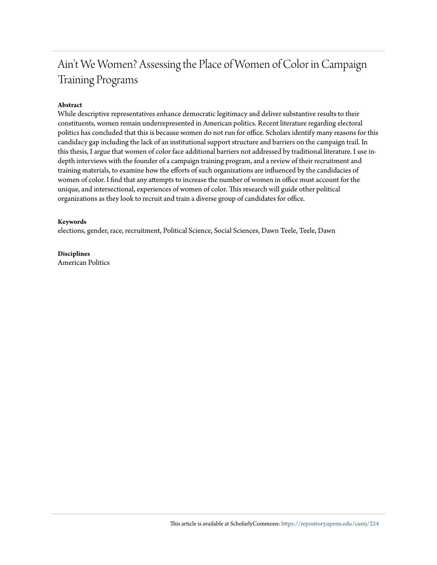## Ain't We Women? Assessing the Place of Women of Color in Campaign Training Programs

#### **Abstract**

While descriptive representatives enhance democratic legitimacy and deliver substantive results to their constituents, women remain underrepresented in American politics. Recent literature regarding electoral politics has concluded that this is because women do not run for office. Scholars identify many reasons for this candidacy gap including the lack of an institutional support structure and barriers on the campaign trail. In this thesis, I argue that women of color face additional barriers not addressed by traditional literature. I use indepth interviews with the founder of a campaign training program, and a review of their recruitment and training materials, to examine how the efforts of such organizations are influenced by the candidacies of women of color. I find that any attempts to increase the number of women in office must account for the unique, and intersectional, experiences of women of color. This research will guide other political organizations as they look to recruit and train a diverse group of candidates for office.

#### **Keywords**

elections, gender, race, recruitment, Political Science, Social Sciences, Dawn Teele, Teele, Dawn

**Disciplines** American Politics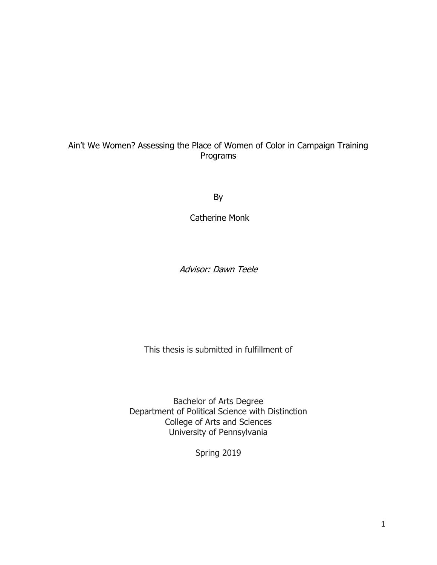## Ain't We Women? Assessing the Place of Women of Color in Campaign Training Programs

By

Catherine Monk

Advisor: Dawn Teele

This thesis is submitted in fulfillment of

Bachelor of Arts Degree Department of Political Science with Distinction College of Arts and Sciences University of Pennsylvania

Spring 2019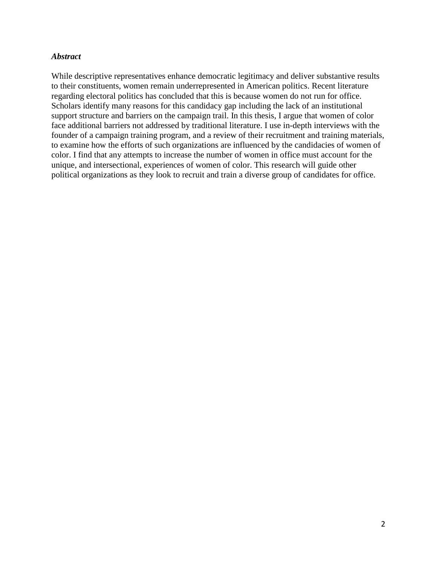#### *Abstract*

While descriptive representatives enhance democratic legitimacy and deliver substantive results to their constituents, women remain underrepresented in American politics. Recent literature regarding electoral politics has concluded that this is because women do not run for office. Scholars identify many reasons for this candidacy gap including the lack of an institutional support structure and barriers on the campaign trail. In this thesis, I argue that women of color face additional barriers not addressed by traditional literature. I use in-depth interviews with the founder of a campaign training program, and a review of their recruitment and training materials, to examine how the efforts of such organizations are influenced by the candidacies of women of color. I find that any attempts to increase the number of women in office must account for the unique, and intersectional, experiences of women of color. This research will guide other political organizations as they look to recruit and train a diverse group of candidates for office.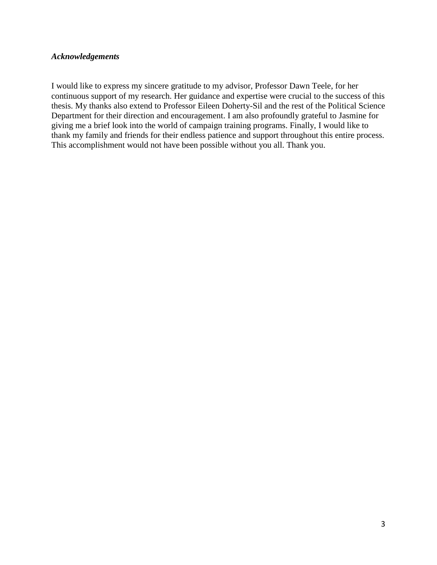#### *Acknowledgements*

I would like to express my sincere gratitude to my advisor, Professor Dawn Teele, for her continuous support of my research. Her guidance and expertise were crucial to the success of this thesis. My thanks also extend to Professor Eileen Doherty-Sil and the rest of the Political Science Department for their direction and encouragement. I am also profoundly grateful to Jasmine for giving me a brief look into the world of campaign training programs. Finally, I would like to thank my family and friends for their endless patience and support throughout this entire process. This accomplishment would not have been possible without you all. Thank you.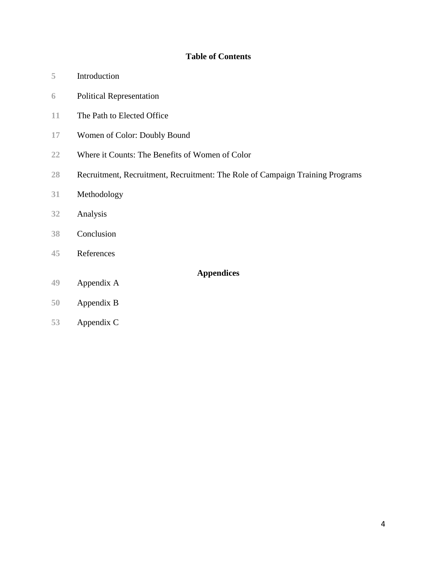## **Table of Contents**

- Introduction
- Political Representation
- The Path to Elected Office
- Women of Color: Doubly Bound
- Where it Counts: The Benefits of Women of Color
- Recruitment, Recruitment, Recruitment: The Role of Campaign Training Programs
- Methodology
- Analysis
- Conclusion
- References
- Appendix A

**Appendices**

- Appendix B
- Appendix C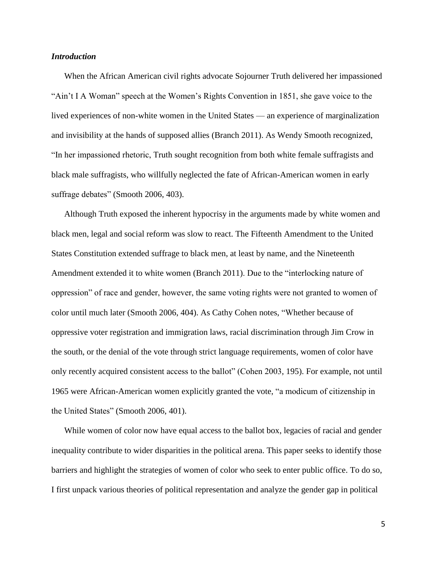#### *Introduction*

When the African American civil rights advocate Sojourner Truth delivered her impassioned "Ain't I A Woman" speech at the Women's Rights Convention in 1851, she gave voice to the lived experiences of non-white women in the United States — an experience of marginalization and invisibility at the hands of supposed allies (Branch 2011). As Wendy Smooth recognized, "In her impassioned rhetoric, Truth sought recognition from both white female suffragists and black male suffragists, who willfully neglected the fate of African-American women in early suffrage debates" (Smooth 2006, 403).

Although Truth exposed the inherent hypocrisy in the arguments made by white women and black men, legal and social reform was slow to react. The Fifteenth Amendment to the United States Constitution extended suffrage to black men, at least by name, and the Nineteenth Amendment extended it to white women (Branch 2011). Due to the "interlocking nature of oppression" of race and gender, however, the same voting rights were not granted to women of color until much later (Smooth 2006, 404). As Cathy Cohen notes, "Whether because of oppressive voter registration and immigration laws, racial discrimination through Jim Crow in the south, or the denial of the vote through strict language requirements, women of color have only recently acquired consistent access to the ballot" (Cohen 2003, 195). For example, not until 1965 were African-American women explicitly granted the vote, "a modicum of citizenship in the United States" (Smooth 2006, 401).

While women of color now have equal access to the ballot box, legacies of racial and gender inequality contribute to wider disparities in the political arena. This paper seeks to identify those barriers and highlight the strategies of women of color who seek to enter public office. To do so, I first unpack various theories of political representation and analyze the gender gap in political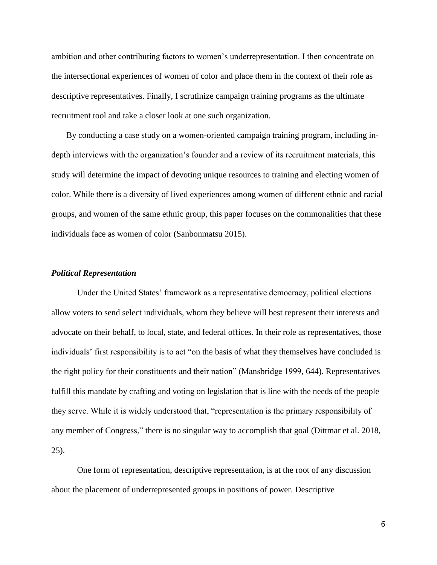ambition and other contributing factors to women's underrepresentation. I then concentrate on the intersectional experiences of women of color and place them in the context of their role as descriptive representatives. Finally, I scrutinize campaign training programs as the ultimate recruitment tool and take a closer look at one such organization.

By conducting a case study on a women-oriented campaign training program, including indepth interviews with the organization's founder and a review of its recruitment materials, this study will determine the impact of devoting unique resources to training and electing women of color. While there is a diversity of lived experiences among women of different ethnic and racial groups, and women of the same ethnic group, this paper focuses on the commonalities that these individuals face as women of color (Sanbonmatsu 2015).

#### *Political Representation*

Under the United States' framework as a representative democracy, political elections allow voters to send select individuals, whom they believe will best represent their interests and advocate on their behalf, to local, state, and federal offices. In their role as representatives, those individuals' first responsibility is to act "on the basis of what they themselves have concluded is the right policy for their constituents and their nation" (Mansbridge 1999, 644). Representatives fulfill this mandate by crafting and voting on legislation that is line with the needs of the people they serve. While it is widely understood that, "representation is the primary responsibility of any member of Congress," there is no singular way to accomplish that goal (Dittmar et al. 2018, 25).

One form of representation, descriptive representation, is at the root of any discussion about the placement of underrepresented groups in positions of power. Descriptive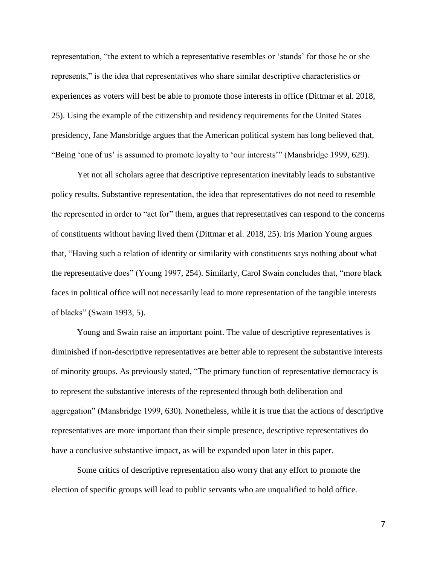representation, "the extent to which a representative resembles or 'stands' for those he or she represents," is the idea that representatives who share similar descriptive characteristics or experiences as voters will best be able to promote those interests in office (Dittmar et al. 2018, 25). Using the example of the citizenship and residency requirements for the United States presidency, Jane Mansbridge argues that the American political system has long believed that, "Being 'one of us' is assumed to promote loyalty to 'our interests'" (Mansbridge 1999, 629).

Yet not all scholars agree that descriptive representation inevitably leads to substantive policy results. Substantive representation, the idea that representatives do not need to resemble the represented in order to "act for" them, argues that representatives can respond to the concerns of constituents without having lived them (Dittmar et al. 2018, 25). Iris Marion Young argues that, "Having such a relation of identity or similarity with constituents says nothing about what the representative does" (Young 1997, 254). Similarly, Carol Swain concludes that, "more black faces in political office will not necessarily lead to more representation of the tangible interests of blacks" (Swain 1993, 5).

Young and Swain raise an important point. The value of descriptive representatives is diminished if non-descriptive representatives are better able to represent the substantive interests of minority groups. As previously stated, "The primary function of representative democracy is to represent the substantive interests of the represented through both deliberation and aggregation" (Mansbridge 1999, 630). Nonetheless, while it is true that the actions of descriptive representatives are more important than their simple presence, descriptive representatives do have a conclusive substantive impact, as will be expanded upon later in this paper.

Some critics of descriptive representation also worry that any effort to promote the election of specific groups will lead to public servants who are unqualified to hold office.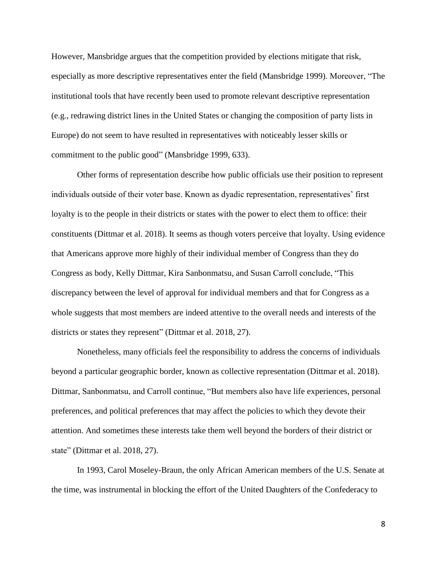However, Mansbridge argues that the competition provided by elections mitigate that risk, especially as more descriptive representatives enter the field (Mansbridge 1999). Moreover, "The institutional tools that have recently been used to promote relevant descriptive representation (e.g., redrawing district lines in the United States or changing the composition of party lists in Europe) do not seem to have resulted in representatives with noticeably lesser skills or commitment to the public good" (Mansbridge 1999, 633).

Other forms of representation describe how public officials use their position to represent individuals outside of their voter base. Known as dyadic representation, representatives' first loyalty is to the people in their districts or states with the power to elect them to office: their constituents (Dittmar et al. 2018). It seems as though voters perceive that loyalty. Using evidence that Americans approve more highly of their individual member of Congress than they do Congress as body, Kelly Dittmar, Kira Sanbonmatsu, and Susan Carroll conclude, "This discrepancy between the level of approval for individual members and that for Congress as a whole suggests that most members are indeed attentive to the overall needs and interests of the districts or states they represent" (Dittmar et al. 2018, 27).

Nonetheless, many officials feel the responsibility to address the concerns of individuals beyond a particular geographic border, known as collective representation (Dittmar et al. 2018). Dittmar, Sanbonmatsu, and Carroll continue, "But members also have life experiences, personal preferences, and political preferences that may affect the policies to which they devote their attention. And sometimes these interests take them well beyond the borders of their district or state" (Dittmar et al. 2018, 27).

In 1993, Carol Moseley-Braun, the only African American members of the U.S. Senate at the time, was instrumental in blocking the effort of the United Daughters of the Confederacy to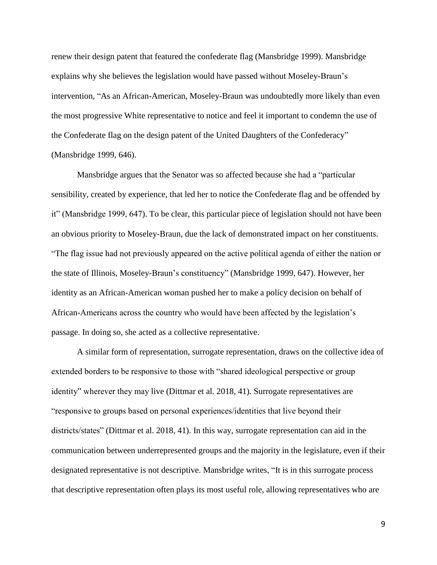renew their design patent that featured the confederate flag (Mansbridge 1999). Mansbridge explains why she believes the legislation would have passed without Moseley-Braun's intervention, "As an African-American, Moseley-Braun was undoubtedly more likely than even the most progressive White representative to notice and feel it important to condemn the use of the Confederate flag on the design patent of the United Daughters of the Confederacy" (Mansbridge 1999, 646).

Mansbridge argues that the Senator was so affected because she had a "particular sensibility, created by experience, that led her to notice the Confederate flag and be offended by it" (Mansbridge 1999, 647). To be clear, this particular piece of legislation should not have been an obvious priority to Moseley-Braun, due the lack of demonstrated impact on her constituents. "The flag issue had not previously appeared on the active political agenda of either the nation or the state of Illinois, Moseley-Braun's constituency" (Mansbridge 1999, 647). However, her identity as an African-American woman pushed her to make a policy decision on behalf of African-Americans across the country who would have been affected by the legislation's passage. In doing so, she acted as a collective representative.

A similar form of representation, surrogate representation, draws on the collective idea of extended borders to be responsive to those with "shared ideological perspective or group identity" wherever they may live (Dittmar et al. 2018, 41). Surrogate representatives are "responsive to groups based on personal experiences/identities that live beyond their districts/states" (Dittmar et al. 2018, 41). In this way, surrogate representation can aid in the communication between underrepresented groups and the majority in the legislature, even if their designated representative is not descriptive. Mansbridge writes, "It is in this surrogate process that descriptive representation often plays its most useful role, allowing representatives who are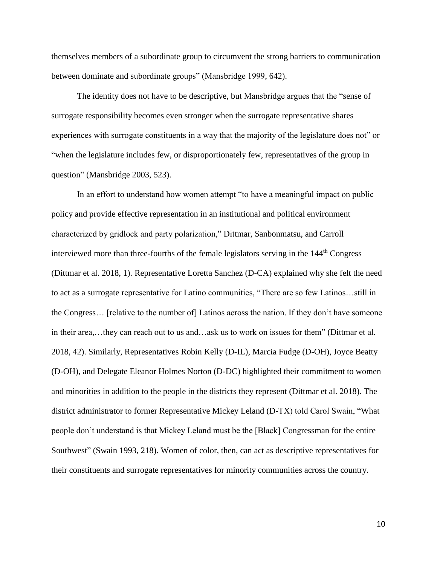themselves members of a subordinate group to circumvent the strong barriers to communication between dominate and subordinate groups" (Mansbridge 1999, 642).

The identity does not have to be descriptive, but Mansbridge argues that the "sense of surrogate responsibility becomes even stronger when the surrogate representative shares experiences with surrogate constituents in a way that the majority of the legislature does not" or "when the legislature includes few, or disproportionately few, representatives of the group in question" (Mansbridge 2003, 523).

In an effort to understand how women attempt "to have a meaningful impact on public policy and provide effective representation in an institutional and political environment characterized by gridlock and party polarization," Dittmar, Sanbonmatsu, and Carroll interviewed more than three-fourths of the female legislators serving in the 144<sup>th</sup> Congress (Dittmar et al. 2018, 1). Representative Loretta Sanchez (D-CA) explained why she felt the need to act as a surrogate representative for Latino communities, "There are so few Latinos…still in the Congress… [relative to the number of] Latinos across the nation. If they don't have someone in their area,…they can reach out to us and…ask us to work on issues for them" (Dittmar et al. 2018, 42). Similarly, Representatives Robin Kelly (D-IL), Marcia Fudge (D-OH), Joyce Beatty (D-OH), and Delegate Eleanor Holmes Norton (D-DC) highlighted their commitment to women and minorities in addition to the people in the districts they represent (Dittmar et al. 2018). The district administrator to former Representative Mickey Leland (D-TX) told Carol Swain, "What people don't understand is that Mickey Leland must be the [Black] Congressman for the entire Southwest" (Swain 1993, 218). Women of color, then, can act as descriptive representatives for their constituents and surrogate representatives for minority communities across the country.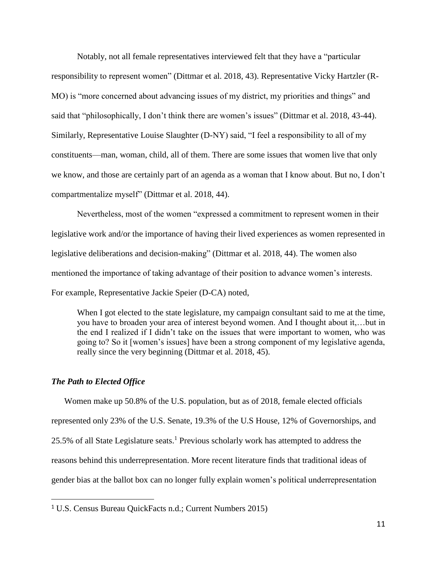Notably, not all female representatives interviewed felt that they have a "particular responsibility to represent women" (Dittmar et al. 2018, 43). Representative Vicky Hartzler (R-MO) is "more concerned about advancing issues of my district, my priorities and things" and said that "philosophically, I don't think there are women's issues" (Dittmar et al. 2018, 43-44). Similarly, Representative Louise Slaughter (D-NY) said, "I feel a responsibility to all of my constituents—man, woman, child, all of them. There are some issues that women live that only we know, and those are certainly part of an agenda as a woman that I know about. But no, I don't compartmentalize myself" (Dittmar et al. 2018, 44).

Nevertheless, most of the women "expressed a commitment to represent women in their legislative work and/or the importance of having their lived experiences as women represented in legislative deliberations and decision-making" (Dittmar et al. 2018, 44). The women also mentioned the importance of taking advantage of their position to advance women's interests. For example, Representative Jackie Speier (D-CA) noted,

When I got elected to the state legislature, my campaign consultant said to me at the time, you have to broaden your area of interest beyond women. And I thought about it,…but in the end I realized if I didn't take on the issues that were important to women, who was going to? So it [women's issues] have been a strong component of my legislative agenda, really since the very beginning (Dittmar et al. 2018, 45).

#### *The Path to Elected Office*

 $\overline{a}$ 

Women make up 50.8% of the U.S. population, but as of 2018, female elected officials represented only 23% of the U.S. Senate, 19.3% of the U.S House, 12% of Governorships, and 25.5% of all State Legislature seats. <sup>1</sup> Previous scholarly work has attempted to address the reasons behind this underrepresentation. More recent literature finds that traditional ideas of gender bias at the ballot box can no longer fully explain women's political underrepresentation

<sup>1</sup> U.S. Census Bureau QuickFacts n.d.; Current Numbers 2015)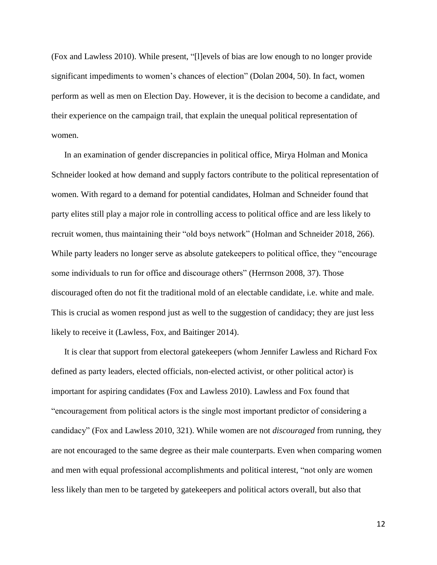(Fox and Lawless 2010). While present, "[l]evels of bias are low enough to no longer provide significant impediments to women's chances of election" (Dolan 2004, 50). In fact, women perform as well as men on Election Day. However, it is the decision to become a candidate, and their experience on the campaign trail, that explain the unequal political representation of women.

In an examination of gender discrepancies in political office, Mirya Holman and Monica Schneider looked at how demand and supply factors contribute to the political representation of women. With regard to a demand for potential candidates, Holman and Schneider found that party elites still play a major role in controlling access to political office and are less likely to recruit women, thus maintaining their "old boys network" (Holman and Schneider 2018, 266). While party leaders no longer serve as absolute gatekeepers to political office, they "encourage some individuals to run for office and discourage others" (Herrnson 2008, 37). Those discouraged often do not fit the traditional mold of an electable candidate, i.e. white and male. This is crucial as women respond just as well to the suggestion of candidacy; they are just less likely to receive it (Lawless, Fox, and Baitinger 2014).

It is clear that support from electoral gatekeepers (whom Jennifer Lawless and Richard Fox defined as party leaders, elected officials, non-elected activist, or other political actor) is important for aspiring candidates (Fox and Lawless 2010). Lawless and Fox found that "encouragement from political actors is the single most important predictor of considering a candidacy" (Fox and Lawless 2010, 321). While women are not *discouraged* from running, they are not encouraged to the same degree as their male counterparts. Even when comparing women and men with equal professional accomplishments and political interest, "not only are women less likely than men to be targeted by gatekeepers and political actors overall, but also that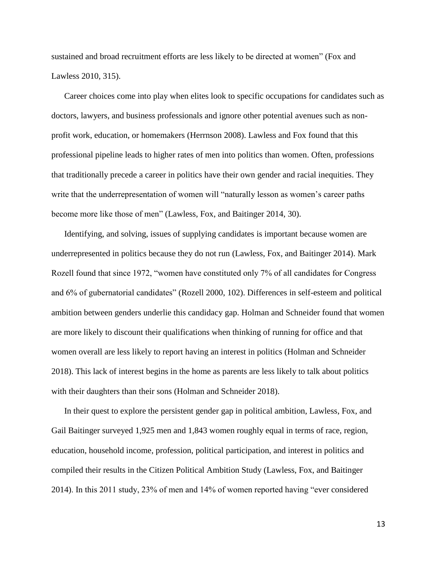sustained and broad recruitment efforts are less likely to be directed at women" (Fox and Lawless 2010, 315).

Career choices come into play when elites look to specific occupations for candidates such as doctors, lawyers, and business professionals and ignore other potential avenues such as nonprofit work, education, or homemakers (Herrnson 2008). Lawless and Fox found that this professional pipeline leads to higher rates of men into politics than women. Often, professions that traditionally precede a career in politics have their own gender and racial inequities. They write that the underrepresentation of women will "naturally lesson as women's career paths become more like those of men" (Lawless, Fox, and Baitinger 2014, 30).

Identifying, and solving, issues of supplying candidates is important because women are underrepresented in politics because they do not run (Lawless, Fox, and Baitinger 2014). Mark Rozell found that since 1972, "women have constituted only 7% of all candidates for Congress and 6% of gubernatorial candidates" (Rozell 2000, 102). Differences in self-esteem and political ambition between genders underlie this candidacy gap. Holman and Schneider found that women are more likely to discount their qualifications when thinking of running for office and that women overall are less likely to report having an interest in politics (Holman and Schneider 2018). This lack of interest begins in the home as parents are less likely to talk about politics with their daughters than their sons (Holman and Schneider 2018).

In their quest to explore the persistent gender gap in political ambition, Lawless, Fox, and Gail Baitinger surveyed 1,925 men and 1,843 women roughly equal in terms of race, region, education, household income, profession, political participation, and interest in politics and compiled their results in the Citizen Political Ambition Study (Lawless, Fox, and Baitinger 2014). In this 2011 study, 23% of men and 14% of women reported having "ever considered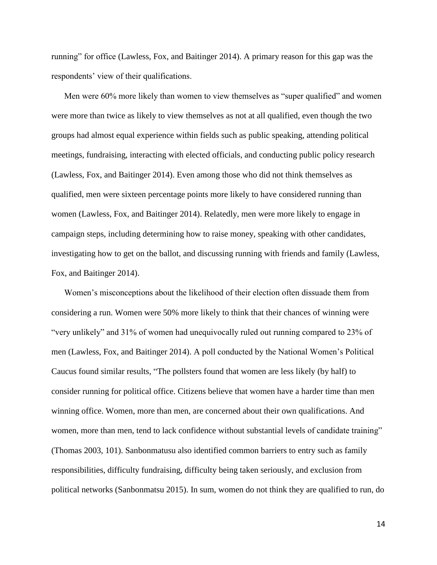running" for office (Lawless, Fox, and Baitinger 2014). A primary reason for this gap was the respondents' view of their qualifications.

Men were 60% more likely than women to view themselves as "super qualified" and women were more than twice as likely to view themselves as not at all qualified, even though the two groups had almost equal experience within fields such as public speaking, attending political meetings, fundraising, interacting with elected officials, and conducting public policy research (Lawless, Fox, and Baitinger 2014). Even among those who did not think themselves as qualified, men were sixteen percentage points more likely to have considered running than women (Lawless, Fox, and Baitinger 2014). Relatedly, men were more likely to engage in campaign steps, including determining how to raise money, speaking with other candidates, investigating how to get on the ballot, and discussing running with friends and family (Lawless, Fox, and Baitinger 2014).

Women's misconceptions about the likelihood of their election often dissuade them from considering a run. Women were 50% more likely to think that their chances of winning were "very unlikely" and 31% of women had unequivocally ruled out running compared to 23% of men (Lawless, Fox, and Baitinger 2014). A poll conducted by the National Women's Political Caucus found similar results, "The pollsters found that women are less likely (by half) to consider running for political office. Citizens believe that women have a harder time than men winning office. Women, more than men, are concerned about their own qualifications. And women, more than men, tend to lack confidence without substantial levels of candidate training" (Thomas 2003, 101). Sanbonmatusu also identified common barriers to entry such as family responsibilities, difficulty fundraising, difficulty being taken seriously, and exclusion from political networks (Sanbonmatsu 2015). In sum, women do not think they are qualified to run, do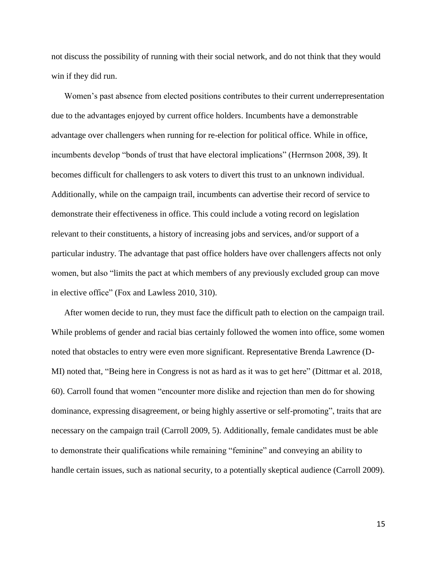not discuss the possibility of running with their social network, and do not think that they would win if they did run.

Women's past absence from elected positions contributes to their current underrepresentation due to the advantages enjoyed by current office holders. Incumbents have a demonstrable advantage over challengers when running for re-election for political office. While in office, incumbents develop "bonds of trust that have electoral implications" (Herrnson 2008, 39). It becomes difficult for challengers to ask voters to divert this trust to an unknown individual. Additionally, while on the campaign trail, incumbents can advertise their record of service to demonstrate their effectiveness in office. This could include a voting record on legislation relevant to their constituents, a history of increasing jobs and services, and/or support of a particular industry. The advantage that past office holders have over challengers affects not only women, but also "limits the pact at which members of any previously excluded group can move in elective office" (Fox and Lawless 2010, 310).

After women decide to run, they must face the difficult path to election on the campaign trail. While problems of gender and racial bias certainly followed the women into office, some women noted that obstacles to entry were even more significant. Representative Brenda Lawrence (D-MI) noted that, "Being here in Congress is not as hard as it was to get here" (Dittmar et al. 2018, 60). Carroll found that women "encounter more dislike and rejection than men do for showing dominance, expressing disagreement, or being highly assertive or self-promoting", traits that are necessary on the campaign trail (Carroll 2009, 5). Additionally, female candidates must be able to demonstrate their qualifications while remaining "feminine" and conveying an ability to handle certain issues, such as national security, to a potentially skeptical audience (Carroll 2009).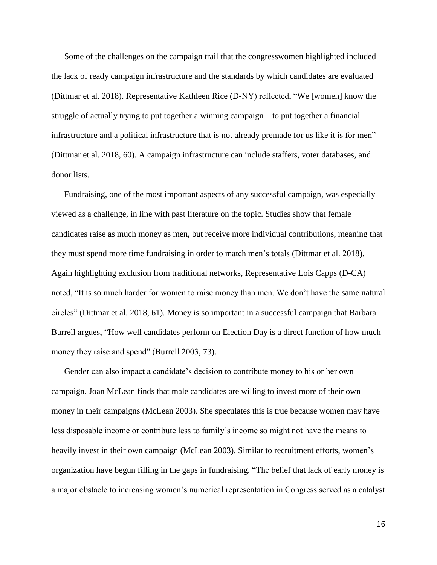Some of the challenges on the campaign trail that the congresswomen highlighted included the lack of ready campaign infrastructure and the standards by which candidates are evaluated (Dittmar et al. 2018). Representative Kathleen Rice (D-NY) reflected, "We [women] know the struggle of actually trying to put together a winning campaign—to put together a financial infrastructure and a political infrastructure that is not already premade for us like it is for men" (Dittmar et al. 2018, 60). A campaign infrastructure can include staffers, voter databases, and donor lists.

Fundraising, one of the most important aspects of any successful campaign, was especially viewed as a challenge, in line with past literature on the topic. Studies show that female candidates raise as much money as men, but receive more individual contributions, meaning that they must spend more time fundraising in order to match men's totals (Dittmar et al. 2018). Again highlighting exclusion from traditional networks, Representative Lois Capps (D-CA) noted, "It is so much harder for women to raise money than men. We don't have the same natural circles" (Dittmar et al. 2018, 61). Money is so important in a successful campaign that Barbara Burrell argues, "How well candidates perform on Election Day is a direct function of how much money they raise and spend" (Burrell 2003, 73).

Gender can also impact a candidate's decision to contribute money to his or her own campaign. Joan McLean finds that male candidates are willing to invest more of their own money in their campaigns (McLean 2003). She speculates this is true because women may have less disposable income or contribute less to family's income so might not have the means to heavily invest in their own campaign (McLean 2003). Similar to recruitment efforts, women's organization have begun filling in the gaps in fundraising. "The belief that lack of early money is a major obstacle to increasing women's numerical representation in Congress served as a catalyst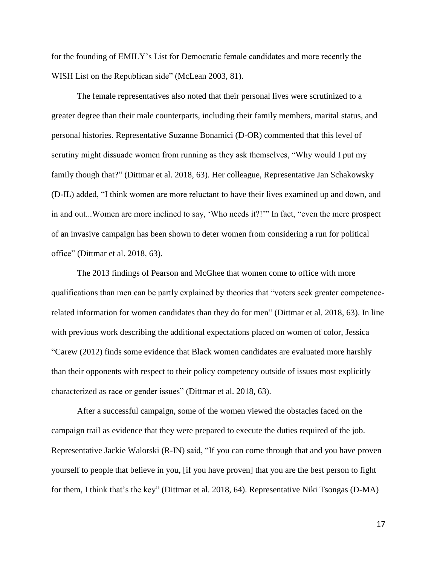for the founding of EMILY's List for Democratic female candidates and more recently the WISH List on the Republican side" (McLean 2003, 81).

The female representatives also noted that their personal lives were scrutinized to a greater degree than their male counterparts, including their family members, marital status, and personal histories. Representative Suzanne Bonamici (D-OR) commented that this level of scrutiny might dissuade women from running as they ask themselves, "Why would I put my family though that?" (Dittmar et al. 2018, 63). Her colleague, Representative Jan Schakowsky (D-IL) added, "I think women are more reluctant to have their lives examined up and down, and in and out...Women are more inclined to say, 'Who needs it?!'" In fact, "even the mere prospect of an invasive campaign has been shown to deter women from considering a run for political office" (Dittmar et al. 2018, 63).

The 2013 findings of Pearson and McGhee that women come to office with more qualifications than men can be partly explained by theories that "voters seek greater competencerelated information for women candidates than they do for men" (Dittmar et al. 2018, 63). In line with previous work describing the additional expectations placed on women of color, Jessica "Carew (2012) finds some evidence that Black women candidates are evaluated more harshly than their opponents with respect to their policy competency outside of issues most explicitly characterized as race or gender issues" (Dittmar et al. 2018, 63).

After a successful campaign, some of the women viewed the obstacles faced on the campaign trail as evidence that they were prepared to execute the duties required of the job. Representative Jackie Walorski (R-IN) said, "If you can come through that and you have proven yourself to people that believe in you, [if you have proven] that you are the best person to fight for them, I think that's the key" (Dittmar et al. 2018, 64). Representative Niki Tsongas (D-MA)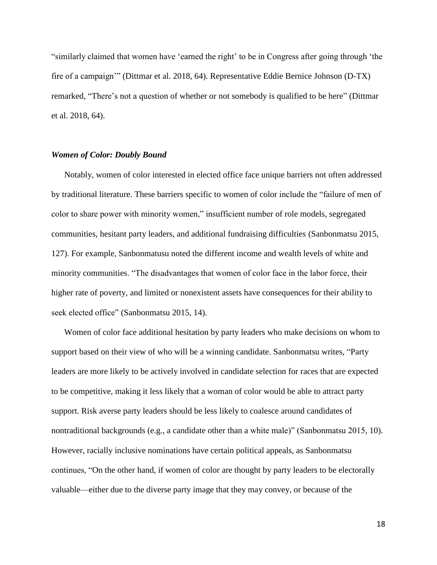"similarly claimed that women have 'earned the right' to be in Congress after going through 'the fire of a campaign'" (Dittmar et al. 2018, 64). Representative Eddie Bernice Johnson (D-TX) remarked, "There's not a question of whether or not somebody is qualified to be here" (Dittmar et al. 2018, 64).

#### *Women of Color: Doubly Bound*

Notably, women of color interested in elected office face unique barriers not often addressed by traditional literature. These barriers specific to women of color include the "failure of men of color to share power with minority women," insufficient number of role models, segregated communities, hesitant party leaders, and additional fundraising difficulties (Sanbonmatsu 2015, 127). For example, Sanbonmatusu noted the different income and wealth levels of white and minority communities. "The disadvantages that women of color face in the labor force, their higher rate of poverty, and limited or nonexistent assets have consequences for their ability to seek elected office" (Sanbonmatsu 2015, 14).

Women of color face additional hesitation by party leaders who make decisions on whom to support based on their view of who will be a winning candidate. Sanbonmatsu writes, "Party leaders are more likely to be actively involved in candidate selection for races that are expected to be competitive, making it less likely that a woman of color would be able to attract party support. Risk averse party leaders should be less likely to coalesce around candidates of nontraditional backgrounds (e.g., a candidate other than a white male)" (Sanbonmatsu 2015, 10). However, racially inclusive nominations have certain political appeals, as Sanbonmatsu continues, "On the other hand, if women of color are thought by party leaders to be electorally valuable—either due to the diverse party image that they may convey, or because of the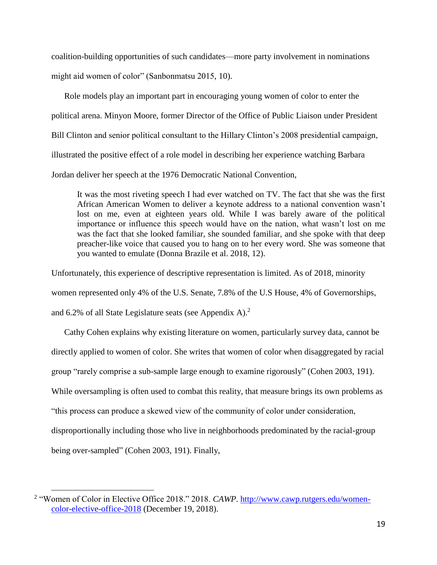coalition-building opportunities of such candidates—more party involvement in nominations might aid women of color" (Sanbonmatsu 2015, 10).

Role models play an important part in encouraging young women of color to enter the political arena. Minyon Moore, former Director of the Office of Public Liaison under President Bill Clinton and senior political consultant to the Hillary Clinton's 2008 presidential campaign, illustrated the positive effect of a role model in describing her experience watching Barbara Jordan deliver her speech at the 1976 Democratic National Convention,

It was the most riveting speech I had ever watched on TV. The fact that she was the first African American Women to deliver a keynote address to a national convention wasn't lost on me, even at eighteen years old. While I was barely aware of the political importance or influence this speech would have on the nation, what wasn't lost on me was the fact that she looked familiar, she sounded familiar, and she spoke with that deep preacher-like voice that caused you to hang on to her every word. She was someone that you wanted to emulate (Donna Brazile et al. 2018, 12).

Unfortunately, this experience of descriptive representation is limited. As of 2018, minority women represented only 4% of the U.S. Senate, 7.8% of the U.S House, 4% of Governorships, and 6.2% of all State Legislature seats (see Appendix A).<sup>2</sup>

Cathy Cohen explains why existing literature on women, particularly survey data, cannot be directly applied to women of color. She writes that women of color when disaggregated by racial group "rarely comprise a sub-sample large enough to examine rigorously" (Cohen 2003, 191). While oversampling is often used to combat this reality, that measure brings its own problems as "this process can produce a skewed view of the community of color under consideration, disproportionally including those who live in neighborhoods predominated by the racial-group being over-sampled" (Cohen 2003, 191). Finally,

 $\overline{a}$ 

<sup>&</sup>lt;sup>2</sup> "Women of Color in Elective Office 2018." 2018. *CAWP*. [http://www.cawp.rutgers.edu/women](http://www.cawp.rutgers.edu/women-color-elective-office-2018)[color-elective-office-2018](http://www.cawp.rutgers.edu/women-color-elective-office-2018) (December 19, 2018).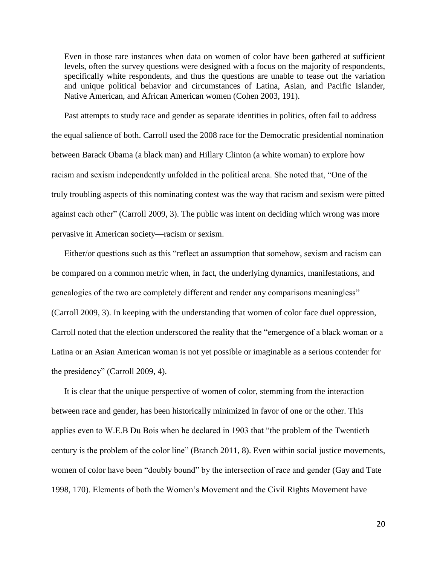Even in those rare instances when data on women of color have been gathered at sufficient levels, often the survey questions were designed with a focus on the majority of respondents, specifically white respondents, and thus the questions are unable to tease out the variation and unique political behavior and circumstances of Latina, Asian, and Pacific Islander, Native American, and African American women (Cohen 2003, 191).

Past attempts to study race and gender as separate identities in politics, often fail to address the equal salience of both. Carroll used the 2008 race for the Democratic presidential nomination between Barack Obama (a black man) and Hillary Clinton (a white woman) to explore how racism and sexism independently unfolded in the political arena. She noted that, "One of the truly troubling aspects of this nominating contest was the way that racism and sexism were pitted against each other" (Carroll 2009, 3). The public was intent on deciding which wrong was more pervasive in American society—racism or sexism.

Either/or questions such as this "reflect an assumption that somehow, sexism and racism can be compared on a common metric when, in fact, the underlying dynamics, manifestations, and genealogies of the two are completely different and render any comparisons meaningless" (Carroll 2009, 3). In keeping with the understanding that women of color face duel oppression, Carroll noted that the election underscored the reality that the "emergence of a black woman or a Latina or an Asian American woman is not yet possible or imaginable as a serious contender for the presidency" (Carroll 2009, 4).

It is clear that the unique perspective of women of color, stemming from the interaction between race and gender, has been historically minimized in favor of one or the other. This applies even to W.E.B Du Bois when he declared in 1903 that "the problem of the Twentieth century is the problem of the color line" (Branch 2011, 8). Even within social justice movements, women of color have been "doubly bound" by the intersection of race and gender (Gay and Tate 1998, 170). Elements of both the Women's Movement and the Civil Rights Movement have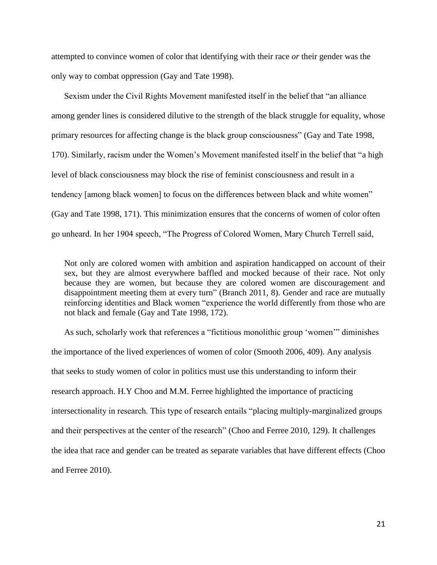attempted to convince women of color that identifying with their race *or* their gender was the only way to combat oppression (Gay and Tate 1998).

Sexism under the Civil Rights Movement manifested itself in the belief that "an alliance among gender lines is considered dilutive to the strength of the black struggle for equality, whose primary resources for affecting change is the black group consciousness" (Gay and Tate 1998, 170). Similarly, racism under the Women's Movement manifested itself in the belief that "a high level of black consciousness may block the rise of feminist consciousness and result in a tendency [among black women] to focus on the differences between black and white women" (Gay and Tate 1998, 171). This minimization ensures that the concerns of women of color often go unheard. In her 1904 speech, "The Progress of Colored Women, Mary Church Terrell said,

Not only are colored women with ambition and aspiration handicapped on account of their sex, but they are almost everywhere baffled and mocked because of their race. Not only because they are women, but because they are colored women are discouragement and disappointment meeting them at every turn" (Branch 2011, 8). Gender and race are mutually reinforcing identities and Black women "experience the world differently from those who are not black and female (Gay and Tate 1998, 172).

As such, scholarly work that references a "fictitious monolithic group 'women'" diminishes the importance of the lived experiences of women of color (Smooth 2006, 409). Any analysis that seeks to study women of color in politics must use this understanding to inform their research approach. H.Y Choo and M.M. Ferree highlighted the importance of practicing intersectionality in research. This type of research entails "placing multiply-marginalized groups and their perspectives at the center of the research" (Choo and Ferree 2010, 129). It challenges the idea that race and gender can be treated as separate variables that have different effects (Choo and Ferree 2010).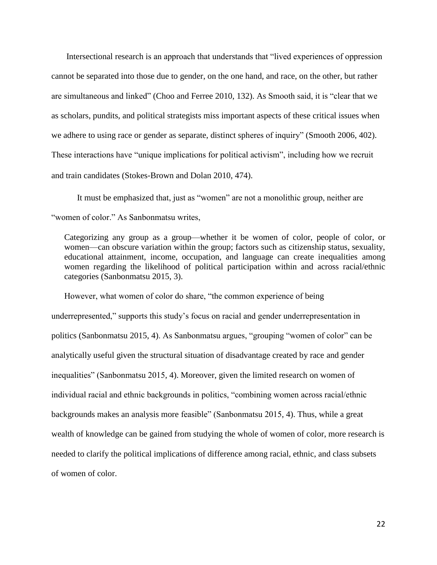Intersectional research is an approach that understands that "lived experiences of oppression cannot be separated into those due to gender, on the one hand, and race, on the other, but rather are simultaneous and linked" (Choo and Ferree 2010, 132). As Smooth said, it is "clear that we as scholars, pundits, and political strategists miss important aspects of these critical issues when we adhere to using race or gender as separate, distinct spheres of inquiry" (Smooth 2006, 402). These interactions have "unique implications for political activism", including how we recruit and train candidates (Stokes‐Brown and Dolan 2010, 474).

It must be emphasized that, just as "women" are not a monolithic group, neither are "women of color." As Sanbonmatsu writes,

Categorizing any group as a group—whether it be women of color, people of color, or women—can obscure variation within the group; factors such as citizenship status, sexuality, educational attainment, income, occupation, and language can create inequalities among women regarding the likelihood of political participation within and across racial/ethnic categories (Sanbonmatsu 2015, 3).

However, what women of color do share, "the common experience of being underrepresented," supports this study's focus on racial and gender underrepresentation in politics (Sanbonmatsu 2015, 4). As Sanbonmatsu argues, "grouping "women of color" can be analytically useful given the structural situation of disadvantage created by race and gender inequalities" (Sanbonmatsu 2015, 4). Moreover, given the limited research on women of individual racial and ethnic backgrounds in politics, "combining women across racial/ethnic backgrounds makes an analysis more feasible" (Sanbonmatsu 2015, 4). Thus, while a great wealth of knowledge can be gained from studying the whole of women of color, more research is needed to clarify the political implications of difference among racial, ethnic, and class subsets of women of color.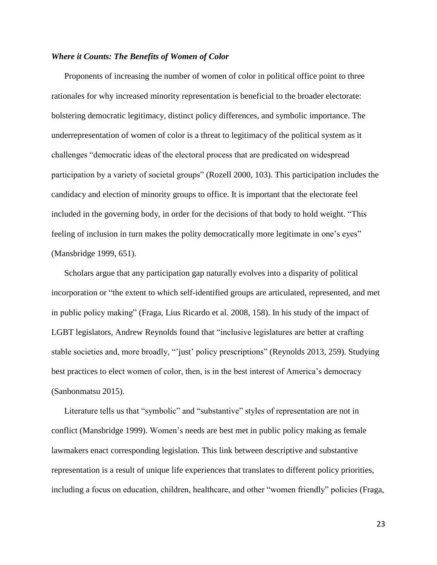#### *Where it Counts: The Benefits of Women of Color*

Proponents of increasing the number of women of color in political office point to three rationales for why increased minority representation is beneficial to the broader electorate: bolstering democratic legitimacy, distinct policy differences, and symbolic importance. The underrepresentation of women of color is a threat to legitimacy of the political system as it challenges "democratic ideas of the electoral process that are predicated on widespread participation by a variety of societal groups" (Rozell 2000, 103). This participation includes the candidacy and election of minority groups to office. It is important that the electorate feel included in the governing body, in order for the decisions of that body to hold weight. "This feeling of inclusion in turn makes the polity democratically more legitimate in one's eyes" (Mansbridge 1999, 651).

Scholars argue that any participation gap naturally evolves into a disparity of political incorporation or "the extent to which self-identified groups are articulated, represented, and met in public policy making" (Fraga, Lius Ricardo et al. 2008, 158). In his study of the impact of LGBT legislators, Andrew Reynolds found that "inclusive legislatures are better at crafting stable societies and, more broadly, "'just' policy prescriptions" (Reynolds 2013, 259). Studying best practices to elect women of color, then, is in the best interest of America's democracy (Sanbonmatsu 2015).

Literature tells us that "symbolic" and "substantive" styles of representation are not in conflict (Mansbridge 1999). Women's needs are best met in public policy making as female lawmakers enact corresponding legislation. This link between descriptive and substantive representation is a result of unique life experiences that translates to different policy priorities, including a focus on education, children, healthcare, and other "women friendly" policies (Fraga,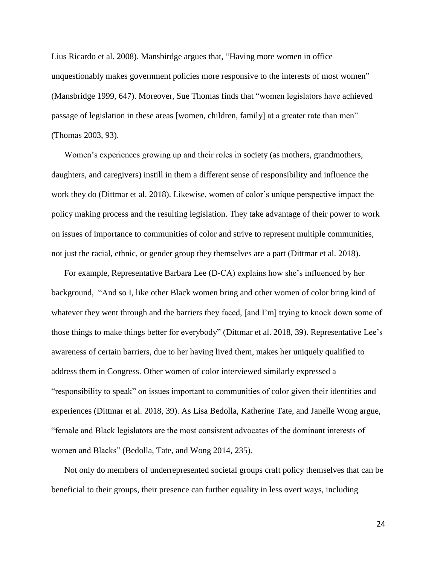Lius Ricardo et al. 2008). Mansbirdge argues that, "Having more women in office unquestionably makes government policies more responsive to the interests of most women" (Mansbridge 1999, 647). Moreover, Sue Thomas finds that "women legislators have achieved passage of legislation in these areas [women, children, family] at a greater rate than men" (Thomas 2003, 93).

Women's experiences growing up and their roles in society (as mothers, grandmothers, daughters, and caregivers) instill in them a different sense of responsibility and influence the work they do (Dittmar et al. 2018). Likewise, women of color's unique perspective impact the policy making process and the resulting legislation. They take advantage of their power to work on issues of importance to communities of color and strive to represent multiple communities, not just the racial, ethnic, or gender group they themselves are a part (Dittmar et al. 2018).

For example, Representative Barbara Lee (D-CA) explains how she's influenced by her background, "And so I, like other Black women bring and other women of color bring kind of whatever they went through and the barriers they faced, [and I'm] trying to knock down some of those things to make things better for everybody" (Dittmar et al. 2018, 39). Representative Lee's awareness of certain barriers, due to her having lived them, makes her uniquely qualified to address them in Congress. Other women of color interviewed similarly expressed a "responsibility to speak" on issues important to communities of color given their identities and experiences (Dittmar et al. 2018, 39). As Lisa Bedolla, Katherine Tate, and Janelle Wong argue, "female and Black legislators are the most consistent advocates of the dominant interests of women and Blacks" (Bedolla, Tate, and Wong 2014, 235).

Not only do members of underrepresented societal groups craft policy themselves that can be beneficial to their groups, their presence can further equality in less overt ways, including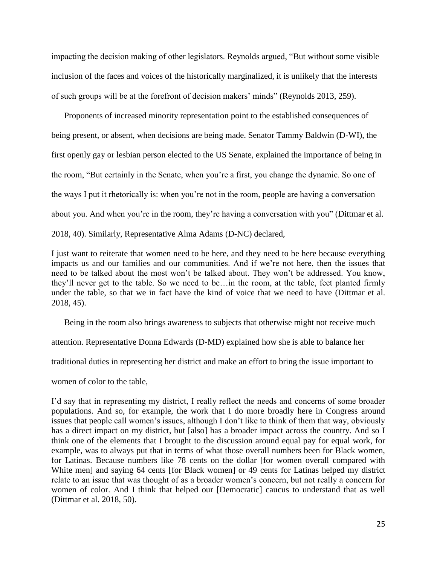impacting the decision making of other legislators. Reynolds argued, "But without some visible inclusion of the faces and voices of the historically marginalized, it is unlikely that the interests of such groups will be at the forefront of decision makers' minds" (Reynolds 2013, 259).

Proponents of increased minority representation point to the established consequences of being present, or absent, when decisions are being made. Senator Tammy Baldwin (D-WI), the first openly gay or lesbian person elected to the US Senate, explained the importance of being in the room, "But certainly in the Senate, when you're a first, you change the dynamic. So one of the ways I put it rhetorically is: when you're not in the room, people are having a conversation about you. And when you're in the room, they're having a conversation with you" (Dittmar et al. 2018, 40). Similarly, Representative Alma Adams (D-NC) declared,

I just want to reiterate that women need to be here, and they need to be here because everything impacts us and our families and our communities. And if we're not here, then the issues that need to be talked about the most won't be talked about. They won't be addressed. You know, they'll never get to the table. So we need to be…in the room, at the table, feet planted firmly under the table, so that we in fact have the kind of voice that we need to have (Dittmar et al. 2018, 45).

Being in the room also brings awareness to subjects that otherwise might not receive much

attention. Representative Donna Edwards (D-MD) explained how she is able to balance her

traditional duties in representing her district and make an effort to bring the issue important to

women of color to the table,

I'd say that in representing my district, I really reflect the needs and concerns of some broader populations. And so, for example, the work that I do more broadly here in Congress around issues that people call women's issues, although I don't like to think of them that way, obviously has a direct impact on my district, but [also] has a broader impact across the country. And so I think one of the elements that I brought to the discussion around equal pay for equal work, for example, was to always put that in terms of what those overall numbers been for Black women, for Latinas. Because numbers like 78 cents on the dollar [for women overall compared with White men] and saying 64 cents [for Black women] or 49 cents for Latinas helped my district relate to an issue that was thought of as a broader women's concern, but not really a concern for women of color. And I think that helped our [Democratic] caucus to understand that as well (Dittmar et al. 2018, 50).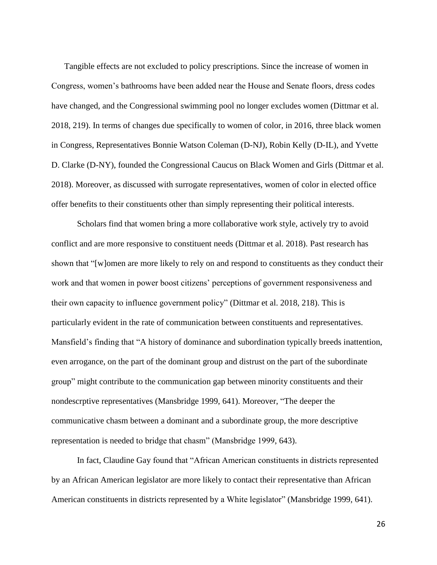Tangible effects are not excluded to policy prescriptions. Since the increase of women in Congress, women's bathrooms have been added near the House and Senate floors, dress codes have changed, and the Congressional swimming pool no longer excludes women (Dittmar et al. 2018, 219). In terms of changes due specifically to women of color, in 2016, three black women in Congress, Representatives Bonnie Watson Coleman (D-NJ), Robin Kelly (D-IL), and Yvette D. Clarke (D-NY), founded the Congressional Caucus on Black Women and Girls (Dittmar et al. 2018). Moreover, as discussed with surrogate representatives, women of color in elected office offer benefits to their constituents other than simply representing their political interests.

Scholars find that women bring a more collaborative work style, actively try to avoid conflict and are more responsive to constituent needs (Dittmar et al. 2018). Past research has shown that "[w]omen are more likely to rely on and respond to constituents as they conduct their work and that women in power boost citizens' perceptions of government responsiveness and their own capacity to influence government policy" (Dittmar et al. 2018, 218). This is particularly evident in the rate of communication between constituents and representatives. Mansfield's finding that "A history of dominance and subordination typically breeds inattention, even arrogance, on the part of the dominant group and distrust on the part of the subordinate group" might contribute to the communication gap between minority constituents and their nondescrptive representatives (Mansbridge 1999, 641). Moreover, "The deeper the communicative chasm between a dominant and a subordinate group, the more descriptive representation is needed to bridge that chasm" (Mansbridge 1999, 643).

In fact, Claudine Gay found that "African American constituents in districts represented by an African American legislator are more likely to contact their representative than African American constituents in districts represented by a White legislator" (Mansbridge 1999, 641).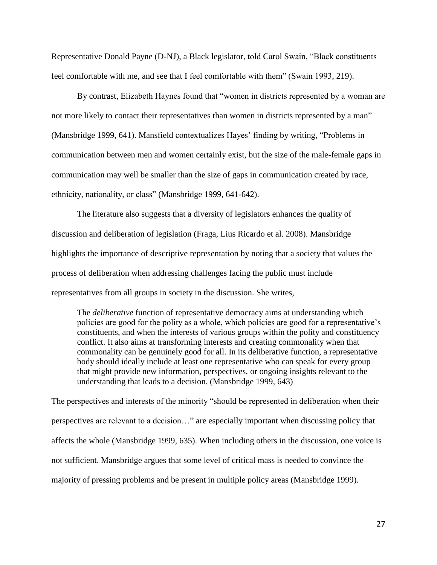Representative Donald Payne (D-NJ), a Black legislator, told Carol Swain, "Black constituents feel comfortable with me, and see that I feel comfortable with them" (Swain 1993, 219).

By contrast, Elizabeth Haynes found that "women in districts represented by a woman are not more likely to contact their representatives than women in districts represented by a man" (Mansbridge 1999, 641). Mansfield contextualizes Hayes' finding by writing, "Problems in communication between men and women certainly exist, but the size of the male-female gaps in communication may well be smaller than the size of gaps in communication created by race, ethnicity, nationality, or class" (Mansbridge 1999, 641-642).

The literature also suggests that a diversity of legislators enhances the quality of discussion and deliberation of legislation (Fraga, Lius Ricardo et al. 2008). Mansbridge highlights the importance of descriptive representation by noting that a society that values the process of deliberation when addressing challenges facing the public must include representatives from all groups in society in the discussion. She writes,

The *deliberative* function of representative democracy aims at understanding which policies are good for the polity as a whole, which policies are good for a representative's constituents, and when the interests of various groups within the polity and constituency conflict. It also aims at transforming interests and creating commonality when that commonality can be genuinely good for all. In its deliberative function, a representative body should ideally include at least one representative who can speak for every group that might provide new information, perspectives, or ongoing insights relevant to the understanding that leads to a decision. (Mansbridge 1999, 643)

The perspectives and interests of the minority "should be represented in deliberation when their perspectives are relevant to a decision…" are especially important when discussing policy that affects the whole (Mansbridge 1999, 635). When including others in the discussion, one voice is not sufficient. Mansbridge argues that some level of critical mass is needed to convince the majority of pressing problems and be present in multiple policy areas (Mansbridge 1999).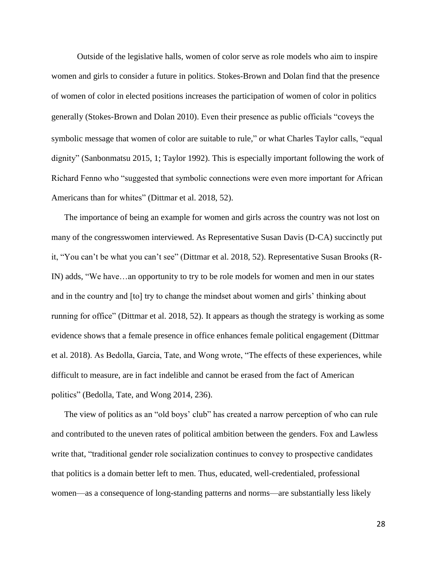Outside of the legislative halls, women of color serve as role models who aim to inspire women and girls to consider a future in politics. Stokes-Brown and Dolan find that the presence of women of color in elected positions increases the participation of women of color in politics generally (Stokes‐Brown and Dolan 2010). Even their presence as public officials "coveys the symbolic message that women of color are suitable to rule," or what Charles Taylor calls, "equal dignity" (Sanbonmatsu 2015, 1; Taylor 1992). This is especially important following the work of Richard Fenno who "suggested that symbolic connections were even more important for African Americans than for whites" (Dittmar et al. 2018, 52).

The importance of being an example for women and girls across the country was not lost on many of the congresswomen interviewed. As Representative Susan Davis (D-CA) succinctly put it, "You can't be what you can't see" (Dittmar et al. 2018, 52). Representative Susan Brooks (R-IN) adds, "We have…an opportunity to try to be role models for women and men in our states and in the country and [to] try to change the mindset about women and girls' thinking about running for office" (Dittmar et al. 2018, 52). It appears as though the strategy is working as some evidence shows that a female presence in office enhances female political engagement (Dittmar et al. 2018). As Bedolla, Garcia, Tate, and Wong wrote, "The effects of these experiences, while difficult to measure, are in fact indelible and cannot be erased from the fact of American politics" (Bedolla, Tate, and Wong 2014, 236).

The view of politics as an "old boys' club" has created a narrow perception of who can rule and contributed to the uneven rates of political ambition between the genders. Fox and Lawless write that, "traditional gender role socialization continues to convey to prospective candidates that politics is a domain better left to men. Thus, educated, well-credentialed, professional women—as a consequence of long-standing patterns and norms—are substantially less likely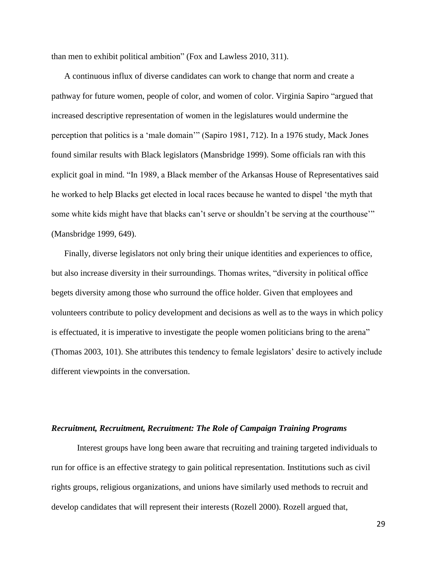than men to exhibit political ambition" (Fox and Lawless 2010, 311).

A continuous influx of diverse candidates can work to change that norm and create a pathway for future women, people of color, and women of color. Virginia Sapiro "argued that increased descriptive representation of women in the legislatures would undermine the perception that politics is a 'male domain'" (Sapiro 1981, 712). In a 1976 study, Mack Jones found similar results with Black legislators (Mansbridge 1999). Some officials ran with this explicit goal in mind. "In 1989, a Black member of the Arkansas House of Representatives said he worked to help Blacks get elected in local races because he wanted to dispel 'the myth that some white kids might have that blacks can't serve or shouldn't be serving at the courthouse'" (Mansbridge 1999, 649).

Finally, diverse legislators not only bring their unique identities and experiences to office, but also increase diversity in their surroundings. Thomas writes, "diversity in political office begets diversity among those who surround the office holder. Given that employees and volunteers contribute to policy development and decisions as well as to the ways in which policy is effectuated, it is imperative to investigate the people women politicians bring to the arena" (Thomas 2003, 101). She attributes this tendency to female legislators' desire to actively include different viewpoints in the conversation.

#### *Recruitment, Recruitment, Recruitment: The Role of Campaign Training Programs*

Interest groups have long been aware that recruiting and training targeted individuals to run for office is an effective strategy to gain political representation. Institutions such as civil rights groups, religious organizations, and unions have similarly used methods to recruit and develop candidates that will represent their interests (Rozell 2000). Rozell argued that,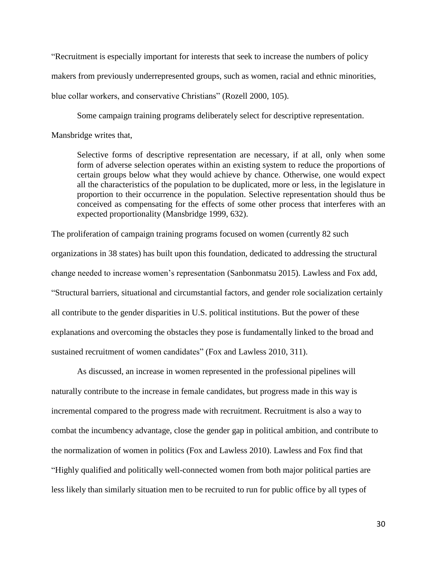"Recruitment is especially important for interests that seek to increase the numbers of policy makers from previously underrepresented groups, such as women, racial and ethnic minorities, blue collar workers, and conservative Christians" (Rozell 2000, 105).

Some campaign training programs deliberately select for descriptive representation.

Mansbridge writes that,

Selective forms of descriptive representation are necessary, if at all, only when some form of adverse selection operates within an existing system to reduce the proportions of certain groups below what they would achieve by chance. Otherwise, one would expect all the characteristics of the population to be duplicated, more or less, in the legislature in proportion to their occurrence in the population. Selective representation should thus be conceived as compensating for the effects of some other process that interferes with an expected proportionality (Mansbridge 1999, 632).

The proliferation of campaign training programs focused on women (currently 82 such organizations in 38 states) has built upon this foundation, dedicated to addressing the structural change needed to increase women's representation (Sanbonmatsu 2015). Lawless and Fox add, "Structural barriers, situational and circumstantial factors, and gender role socialization certainly all contribute to the gender disparities in U.S. political institutions. But the power of these explanations and overcoming the obstacles they pose is fundamentally linked to the broad and sustained recruitment of women candidates" (Fox and Lawless 2010, 311).

As discussed, an increase in women represented in the professional pipelines will naturally contribute to the increase in female candidates, but progress made in this way is incremental compared to the progress made with recruitment. Recruitment is also a way to combat the incumbency advantage, close the gender gap in political ambition, and contribute to the normalization of women in politics (Fox and Lawless 2010). Lawless and Fox find that "Highly qualified and politically well-connected women from both major political parties are less likely than similarly situation men to be recruited to run for public office by all types of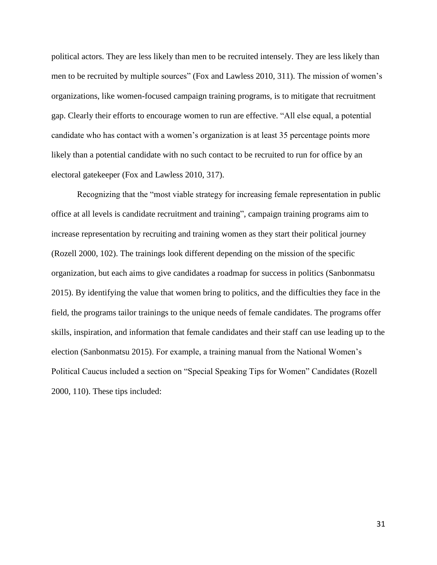political actors. They are less likely than men to be recruited intensely. They are less likely than men to be recruited by multiple sources" (Fox and Lawless 2010, 311). The mission of women's organizations, like women-focused campaign training programs, is to mitigate that recruitment gap. Clearly their efforts to encourage women to run are effective. "All else equal, a potential candidate who has contact with a women's organization is at least 35 percentage points more likely than a potential candidate with no such contact to be recruited to run for office by an electoral gatekeeper (Fox and Lawless 2010, 317).

Recognizing that the "most viable strategy for increasing female representation in public office at all levels is candidate recruitment and training", campaign training programs aim to increase representation by recruiting and training women as they start their political journey (Rozell 2000, 102). The trainings look different depending on the mission of the specific organization, but each aims to give candidates a roadmap for success in politics (Sanbonmatsu 2015). By identifying the value that women bring to politics, and the difficulties they face in the field, the programs tailor trainings to the unique needs of female candidates. The programs offer skills, inspiration, and information that female candidates and their staff can use leading up to the election (Sanbonmatsu 2015). For example, a training manual from the National Women's Political Caucus included a section on "Special Speaking Tips for Women" Candidates (Rozell 2000, 110). These tips included: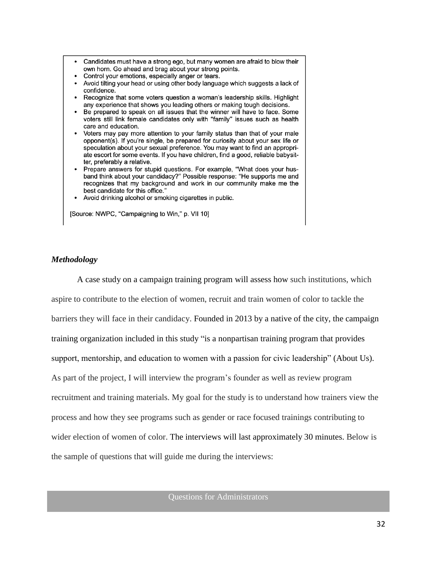- Candidates must have a strong ego, but many women are afraid to blow their own horn. Go ahead and brag about your strong points.
- Control your emotions, especially anger or tears.
- Avoid tilting your head or using other body language which suggests a lack of confidence.
- Recognize that some voters question a woman's leadership skills. Highlight any experience that shows you leading others or making tough decisions.
- Be prepared to speak on all issues that the winner will have to face. Some voters still link female candidates only with "family" issues such as health care and education.
- Voters may pay more attention to your family status than that of your male opponent(s). If you're single, be prepared for curiosity about your sex life or speculation about your sexual preference. You may want to find an appropriate escort for some events. If you have children, find a good, reliable babysitter, preferably a relative.
- Prepare answers for stupid questions. For example, "What does your husband think about your candidacy?" Possible response: "He supports me and recognizes that my background and work in our community make me the best candidate for this office."
- Avoid drinking alcohol or smoking cigarettes in public.

[Source: NWPC, "Campaigning to Win," p. VII 10]

#### *Methodology*

A case study on a campaign training program will assess how such institutions, which aspire to contribute to the election of women, recruit and train women of color to tackle the barriers they will face in their candidacy. Founded in 2013 by a native of the city, the campaign training organization included in this study "is a nonpartisan training program that provides support, mentorship, and education to women with a passion for civic leadership" (About Us). As part of the project, I will interview the program's founder as well as review program recruitment and training materials. My goal for the study is to understand how trainers view the process and how they see programs such as gender or race focused trainings contributing to wider election of women of color. The interviews will last approximately 30 minutes. Below is the sample of questions that will guide me during the interviews:

Questions for Administrators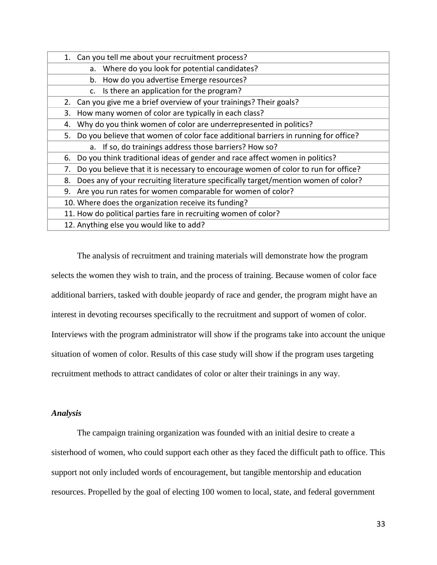| Can you tell me about your recruitment process?<br>1.                                    |
|------------------------------------------------------------------------------------------|
| a. Where do you look for potential candidates?                                           |
| How do you advertise Emerge resources?<br>b.                                             |
| c. Is there an application for the program?                                              |
| Can you give me a brief overview of your trainings? Their goals?<br>2.                   |
| How many women of color are typically in each class?<br>3.                               |
| Why do you think women of color are underrepresented in politics?<br>4.                  |
| Do you believe that women of color face additional barriers in running for office?<br>5. |
| a. If so, do trainings address those barriers? How so?                                   |
| Do you think traditional ideas of gender and race affect women in politics?<br>6.        |
| Do you believe that it is necessary to encourage women of color to run for office?<br>7. |
| Does any of your recruiting literature specifically target/mention women of color?<br>8. |
| Are you run rates for women comparable for women of color?<br>9.                         |
| 10. Where does the organization receive its funding?                                     |
| 11. How do political parties fare in recruiting women of color?                          |
| 12. Anything else you would like to add?                                                 |

The analysis of recruitment and training materials will demonstrate how the program selects the women they wish to train, and the process of training. Because women of color face additional barriers, tasked with double jeopardy of race and gender, the program might have an interest in devoting recourses specifically to the recruitment and support of women of color. Interviews with the program administrator will show if the programs take into account the unique situation of women of color. Results of this case study will show if the program uses targeting recruitment methods to attract candidates of color or alter their trainings in any way.

#### *Analysis*

The campaign training organization was founded with an initial desire to create a sisterhood of women, who could support each other as they faced the difficult path to office. This support not only included words of encouragement, but tangible mentorship and education resources. Propelled by the goal of electing 100 women to local, state, and federal government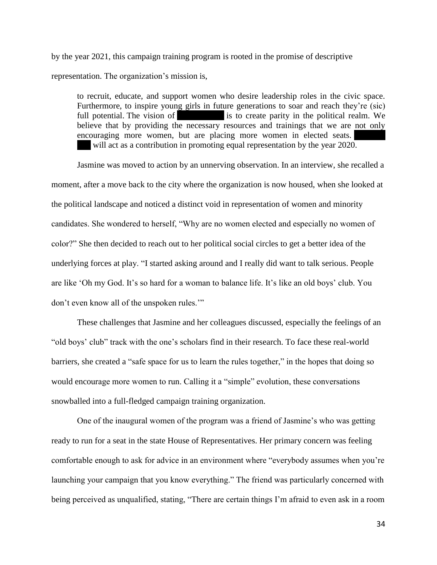by the year 2021, this campaign training program is rooted in the promise of descriptive representation. The organization's mission is,

to recruit, educate, and support women who desire leadership roles in the civic space. Furthermore, to inspire young girls in future generations to soar and reach they're (sic) full potential. The vision of **Sheparity** is to create parity in the political realm. We believe that by providing the necessary resources and trainings that we are not only encouraging more women, but are placing more women in elected seats. will act as a contribution in promoting equal representation by the year 2020.

Jasmine was moved to action by an unnerving observation. In an interview, she recalled a moment, after a move back to the city where the organization is now housed, when she looked at the political landscape and noticed a distinct void in representation of women and minority candidates. She wondered to herself, "Why are no women elected and especially no women of color?" She then decided to reach out to her political social circles to get a better idea of the underlying forces at play. "I started asking around and I really did want to talk serious. People are like 'Oh my God. It's so hard for a woman to balance life. It's like an old boys' club. You don't even know all of the unspoken rules.'"

These challenges that Jasmine and her colleagues discussed, especially the feelings of an "old boys' club" track with the one's scholars find in their research. To face these real-world barriers, she created a "safe space for us to learn the rules together," in the hopes that doing so would encourage more women to run. Calling it a "simple" evolution, these conversations snowballed into a full-fledged campaign training organization.

One of the inaugural women of the program was a friend of Jasmine's who was getting ready to run for a seat in the state House of Representatives. Her primary concern was feeling comfortable enough to ask for advice in an environment where "everybody assumes when you're launching your campaign that you know everything." The friend was particularly concerned with being perceived as unqualified, stating, "There are certain things I'm afraid to even ask in a room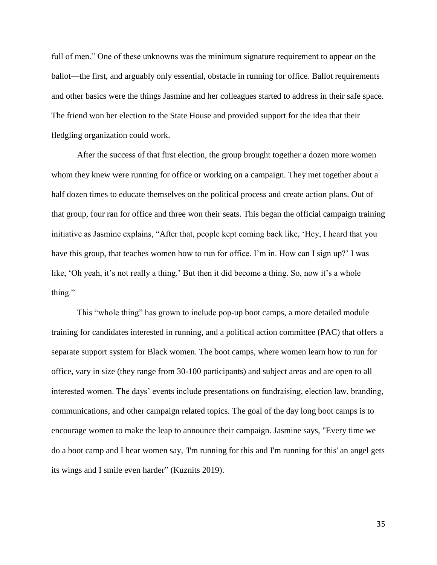full of men." One of these unknowns was the minimum signature requirement to appear on the ballot—the first, and arguably only essential, obstacle in running for office. Ballot requirements and other basics were the things Jasmine and her colleagues started to address in their safe space. The friend won her election to the State House and provided support for the idea that their fledgling organization could work.

After the success of that first election, the group brought together a dozen more women whom they knew were running for office or working on a campaign. They met together about a half dozen times to educate themselves on the political process and create action plans. Out of that group, four ran for office and three won their seats. This began the official campaign training initiative as Jasmine explains, "After that, people kept coming back like, 'Hey, I heard that you have this group, that teaches women how to run for office. I'm in. How can I sign up?' I was like, 'Oh yeah, it's not really a thing.' But then it did become a thing. So, now it's a whole thing."

This "whole thing" has grown to include pop-up boot camps, a more detailed module training for candidates interested in running, and a political action committee (PAC) that offers a separate support system for Black women. The boot camps, where women learn how to run for office, vary in size (they range from 30-100 participants) and subject areas and are open to all interested women. The days' events include presentations on fundraising, election law, branding, communications, and other campaign related topics. The goal of the day long boot camps is to encourage women to make the leap to announce their campaign. Jasmine says, "Every time we do a boot camp and I hear women say, 'I'm running for this and I'm running for this' an angel gets its wings and I smile even harder" (Kuznits 2019).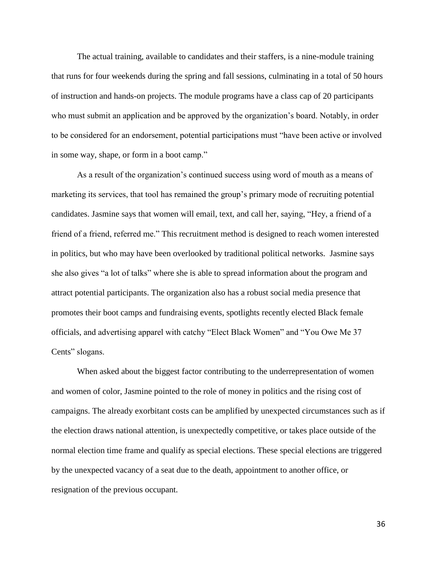The actual training, available to candidates and their staffers, is a nine-module training that runs for four weekends during the spring and fall sessions, culminating in a total of 50 hours of instruction and hands-on projects. The module programs have a class cap of 20 participants who must submit an application and be approved by the organization's board. Notably, in order to be considered for an endorsement, potential participations must "have been active or involved in some way, shape, or form in a boot camp."

As a result of the organization's continued success using word of mouth as a means of marketing its services, that tool has remained the group's primary mode of recruiting potential candidates. Jasmine says that women will email, text, and call her, saying, "Hey, a friend of a friend of a friend, referred me." This recruitment method is designed to reach women interested in politics, but who may have been overlooked by traditional political networks. Jasmine says she also gives "a lot of talks" where she is able to spread information about the program and attract potential participants. The organization also has a robust social media presence that promotes their boot camps and fundraising events, spotlights recently elected Black female officials, and advertising apparel with catchy "Elect Black Women" and "You Owe Me 37 Cents" slogans.

When asked about the biggest factor contributing to the underrepresentation of women and women of color, Jasmine pointed to the role of money in politics and the rising cost of campaigns. The already exorbitant costs can be amplified by unexpected circumstances such as if the election draws national attention, is unexpectedly competitive, or takes place outside of the normal election time frame and qualify as special elections. These special elections are triggered by the unexpected vacancy of a seat due to the death, appointment to another office, or resignation of the previous occupant.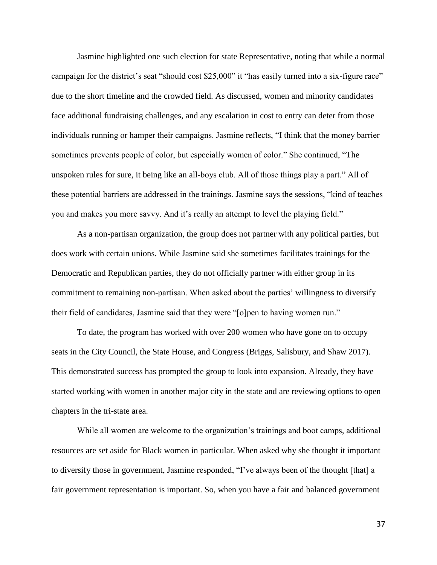Jasmine highlighted one such election for state Representative, noting that while a normal campaign for the district's seat "should cost \$25,000" it "has easily turned into a six-figure race" due to the short timeline and the crowded field. As discussed, women and minority candidates face additional fundraising challenges, and any escalation in cost to entry can deter from those individuals running or hamper their campaigns. Jasmine reflects, "I think that the money barrier sometimes prevents people of color, but especially women of color." She continued, "The unspoken rules for sure, it being like an all-boys club. All of those things play a part." All of these potential barriers are addressed in the trainings. Jasmine says the sessions, "kind of teaches you and makes you more savvy. And it's really an attempt to level the playing field."

As a non-partisan organization, the group does not partner with any political parties, but does work with certain unions. While Jasmine said she sometimes facilitates trainings for the Democratic and Republican parties, they do not officially partner with either group in its commitment to remaining non-partisan. When asked about the parties' willingness to diversify their field of candidates, Jasmine said that they were "[o]pen to having women run."

To date, the program has worked with over 200 women who have gone on to occupy seats in the City Council, the State House, and Congress (Briggs, Salisbury, and Shaw 2017). This demonstrated success has prompted the group to look into expansion. Already, they have started working with women in another major city in the state and are reviewing options to open chapters in the tri-state area.

While all women are welcome to the organization's trainings and boot camps, additional resources are set aside for Black women in particular. When asked why she thought it important to diversify those in government, Jasmine responded, "I've always been of the thought [that] a fair government representation is important. So, when you have a fair and balanced government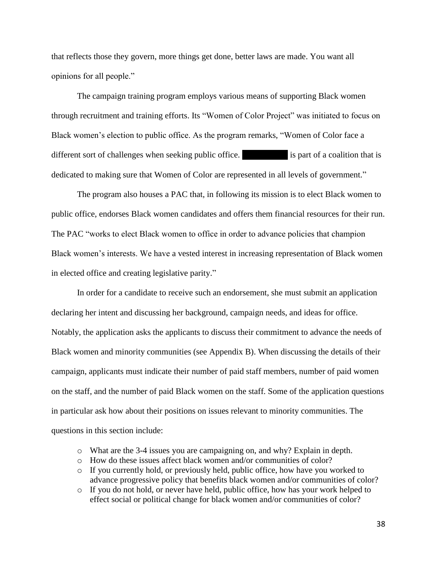that reflects those they govern, more things get done, better laws are made. You want all opinions for all people."

The campaign training program employs various means of supporting Black women through recruitment and training efforts. Its "Women of Color Project" was initiated to focus on Black women's election to public office. As the program remarks, "Women of Color face a different sort of challenges when seeking public office. She Can I is part of a coalition that is dedicated to making sure that Women of Color are represented in all levels of government."

The program also houses a PAC that, in following its mission is to elect Black women to public office, endorses Black women candidates and offers them financial resources for their run. The PAC "works to elect Black women to office in order to advance policies that champion Black women's interests. We have a vested interest in increasing representation of Black women in elected office and creating legislative parity."

In order for a candidate to receive such an endorsement, she must submit an application declaring her intent and discussing her background, campaign needs, and ideas for office. Notably, the application asks the applicants to discuss their commitment to advance the needs of Black women and minority communities (see Appendix B). When discussing the details of their campaign, applicants must indicate their number of paid staff members, number of paid women on the staff, and the number of paid Black women on the staff. Some of the application questions in particular ask how about their positions on issues relevant to minority communities. The questions in this section include:

- o What are the 3-4 issues you are campaigning on, and why? Explain in depth.
- o How do these issues affect black women and/or communities of color?
- $\circ$  If you currently hold, or previously held, public office, how have you worked to advance progressive policy that benefits black women and/or communities of color?
- o If you do not hold, or never have held, public office, how has your work helped to effect social or political change for black women and/or communities of color?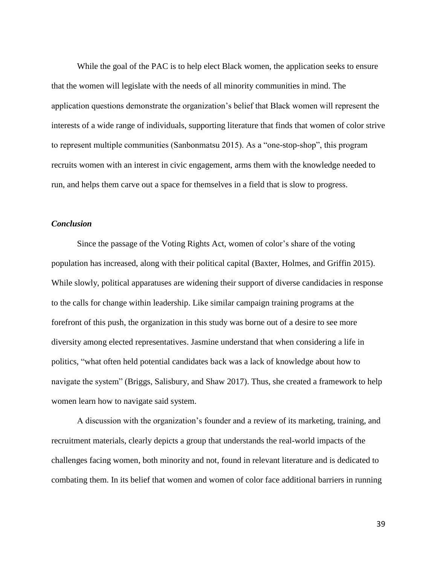While the goal of the PAC is to help elect Black women, the application seeks to ensure that the women will legislate with the needs of all minority communities in mind. The application questions demonstrate the organization's belief that Black women will represent the interests of a wide range of individuals, supporting literature that finds that women of color strive to represent multiple communities (Sanbonmatsu 2015). As a "one-stop-shop", this program recruits women with an interest in civic engagement, arms them with the knowledge needed to run, and helps them carve out a space for themselves in a field that is slow to progress.

#### *Conclusion*

Since the passage of the Voting Rights Act, women of color's share of the voting population has increased, along with their political capital (Baxter, Holmes, and Griffin 2015). While slowly, political apparatuses are widening their support of diverse candidacies in response to the calls for change within leadership. Like similar campaign training programs at the forefront of this push, the organization in this study was borne out of a desire to see more diversity among elected representatives. Jasmine understand that when considering a life in politics, "what often held potential candidates back was a lack of knowledge about how to navigate the system" (Briggs, Salisbury, and Shaw 2017). Thus, she created a framework to help women learn how to navigate said system.

A discussion with the organization's founder and a review of its marketing, training, and recruitment materials, clearly depicts a group that understands the real-world impacts of the challenges facing women, both minority and not, found in relevant literature and is dedicated to combating them. In its belief that women and women of color face additional barriers in running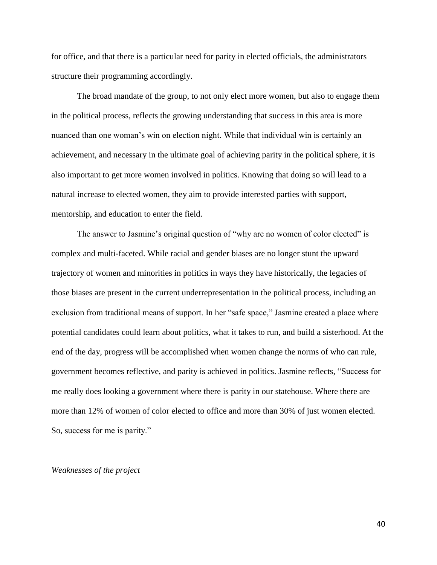for office, and that there is a particular need for parity in elected officials, the administrators structure their programming accordingly.

The broad mandate of the group, to not only elect more women, but also to engage them in the political process, reflects the growing understanding that success in this area is more nuanced than one woman's win on election night. While that individual win is certainly an achievement, and necessary in the ultimate goal of achieving parity in the political sphere, it is also important to get more women involved in politics. Knowing that doing so will lead to a natural increase to elected women, they aim to provide interested parties with support, mentorship, and education to enter the field.

The answer to Jasmine's original question of "why are no women of color elected" is complex and multi-faceted. While racial and gender biases are no longer stunt the upward trajectory of women and minorities in politics in ways they have historically, the legacies of those biases are present in the current underrepresentation in the political process, including an exclusion from traditional means of support. In her "safe space," Jasmine created a place where potential candidates could learn about politics, what it takes to run, and build a sisterhood. At the end of the day, progress will be accomplished when women change the norms of who can rule, government becomes reflective, and parity is achieved in politics. Jasmine reflects, "Success for me really does looking a government where there is parity in our statehouse. Where there are more than 12% of women of color elected to office and more than 30% of just women elected. So, success for me is parity."

#### *Weaknesses of the project*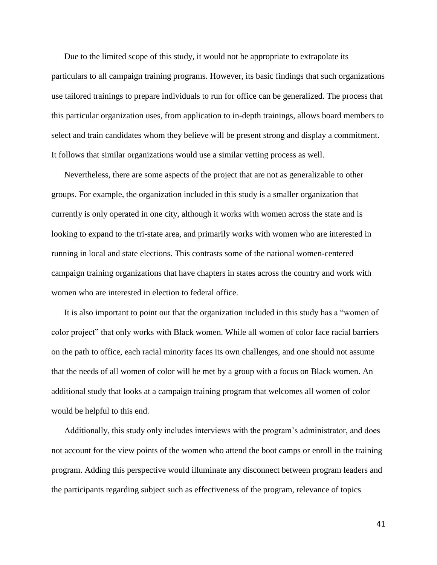Due to the limited scope of this study, it would not be appropriate to extrapolate its particulars to all campaign training programs. However, its basic findings that such organizations use tailored trainings to prepare individuals to run for office can be generalized. The process that this particular organization uses, from application to in-depth trainings, allows board members to select and train candidates whom they believe will be present strong and display a commitment. It follows that similar organizations would use a similar vetting process as well.

Nevertheless, there are some aspects of the project that are not as generalizable to other groups. For example, the organization included in this study is a smaller organization that currently is only operated in one city, although it works with women across the state and is looking to expand to the tri-state area, and primarily works with women who are interested in running in local and state elections. This contrasts some of the national women-centered campaign training organizations that have chapters in states across the country and work with women who are interested in election to federal office.

It is also important to point out that the organization included in this study has a "women of color project" that only works with Black women. While all women of color face racial barriers on the path to office, each racial minority faces its own challenges, and one should not assume that the needs of all women of color will be met by a group with a focus on Black women. An additional study that looks at a campaign training program that welcomes all women of color would be helpful to this end.

Additionally, this study only includes interviews with the program's administrator, and does not account for the view points of the women who attend the boot camps or enroll in the training program. Adding this perspective would illuminate any disconnect between program leaders and the participants regarding subject such as effectiveness of the program, relevance of topics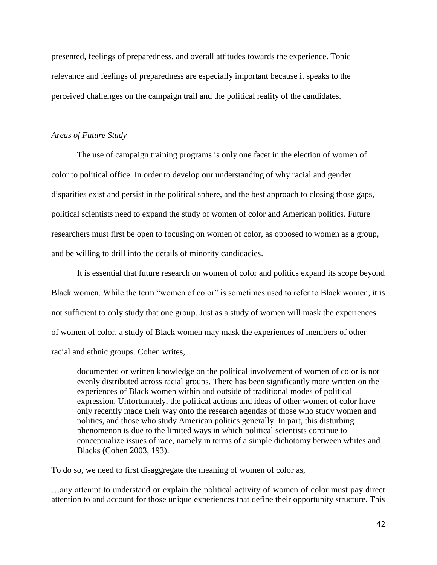presented, feelings of preparedness, and overall attitudes towards the experience. Topic relevance and feelings of preparedness are especially important because it speaks to the perceived challenges on the campaign trail and the political reality of the candidates.

#### *Areas of Future Study*

The use of campaign training programs is only one facet in the election of women of color to political office. In order to develop our understanding of why racial and gender disparities exist and persist in the political sphere, and the best approach to closing those gaps, political scientists need to expand the study of women of color and American politics. Future researchers must first be open to focusing on women of color, as opposed to women as a group, and be willing to drill into the details of minority candidacies.

It is essential that future research on women of color and politics expand its scope beyond Black women. While the term "women of color" is sometimes used to refer to Black women, it is not sufficient to only study that one group. Just as a study of women will mask the experiences of women of color, a study of Black women may mask the experiences of members of other racial and ethnic groups. Cohen writes,

documented or written knowledge on the political involvement of women of color is not evenly distributed across racial groups. There has been significantly more written on the experiences of Black women within and outside of traditional modes of political expression. Unfortunately, the political actions and ideas of other women of color have only recently made their way onto the research agendas of those who study women and politics, and those who study American politics generally. In part, this disturbing phenomenon is due to the limited ways in which political scientists continue to conceptualize issues of race, namely in terms of a simple dichotomy between whites and Blacks (Cohen 2003, 193).

To do so, we need to first disaggregate the meaning of women of color as,

…any attempt to understand or explain the political activity of women of color must pay direct attention to and account for those unique experiences that define their opportunity structure. This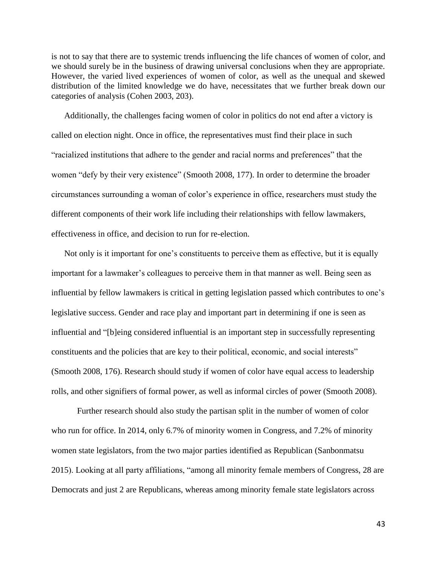is not to say that there are to systemic trends influencing the life chances of women of color, and we should surely be in the business of drawing universal conclusions when they are appropriate. However, the varied lived experiences of women of color, as well as the unequal and skewed distribution of the limited knowledge we do have, necessitates that we further break down our categories of analysis (Cohen 2003, 203).

Additionally, the challenges facing women of color in politics do not end after a victory is called on election night. Once in office, the representatives must find their place in such "racialized institutions that adhere to the gender and racial norms and preferences" that the women "defy by their very existence" (Smooth 2008, 177). In order to determine the broader circumstances surrounding a woman of color's experience in office, researchers must study the different components of their work life including their relationships with fellow lawmakers, effectiveness in office, and decision to run for re-election.

Not only is it important for one's constituents to perceive them as effective, but it is equally important for a lawmaker's colleagues to perceive them in that manner as well. Being seen as influential by fellow lawmakers is critical in getting legislation passed which contributes to one's legislative success. Gender and race play and important part in determining if one is seen as influential and "[b]eing considered influential is an important step in successfully representing constituents and the policies that are key to their political, economic, and social interests" (Smooth 2008, 176). Research should study if women of color have equal access to leadership rolls, and other signifiers of formal power, as well as informal circles of power (Smooth 2008).

Further research should also study the partisan split in the number of women of color who run for office. In 2014, only 6.7% of minority women in Congress, and 7.2% of minority women state legislators, from the two major parties identified as Republican (Sanbonmatsu 2015). Looking at all party affiliations, "among all minority female members of Congress, 28 are Democrats and just 2 are Republicans, whereas among minority female state legislators across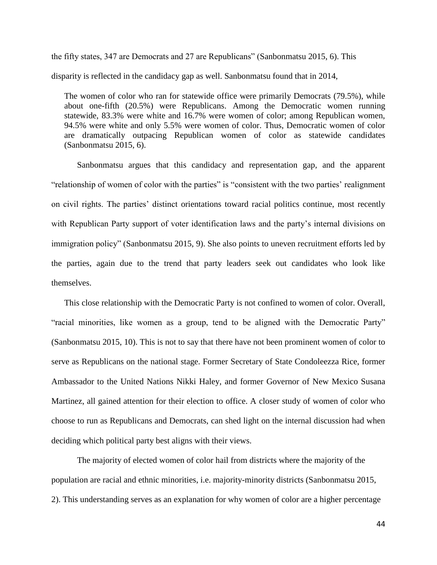the fifty states, 347 are Democrats and 27 are Republicans" (Sanbonmatsu 2015, 6). This disparity is reflected in the candidacy gap as well. Sanbonmatsu found that in 2014,

The women of color who ran for statewide office were primarily Democrats (79.5%), while about one-fifth (20.5%) were Republicans. Among the Democratic women running statewide, 83.3% were white and 16.7% were women of color; among Republican women, 94.5% were white and only 5.5% were women of color. Thus, Democratic women of color are dramatically outpacing Republican women of color as statewide candidates (Sanbonmatsu 2015, 6).

Sanbonmatsu argues that this candidacy and representation gap, and the apparent "relationship of women of color with the parties" is "consistent with the two parties' realignment on civil rights. The parties' distinct orientations toward racial politics continue, most recently with Republican Party support of voter identification laws and the party's internal divisions on immigration policy" (Sanbonmatsu 2015, 9). She also points to uneven recruitment efforts led by the parties, again due to the trend that party leaders seek out candidates who look like themselves.

This close relationship with the Democratic Party is not confined to women of color. Overall, "racial minorities, like women as a group, tend to be aligned with the Democratic Party" (Sanbonmatsu 2015, 10). This is not to say that there have not been prominent women of color to serve as Republicans on the national stage. Former Secretary of State Condoleezza Rice, former Ambassador to the United Nations Nikki Haley, and former Governor of New Mexico Susana Martinez, all gained attention for their election to office. A closer study of women of color who choose to run as Republicans and Democrats, can shed light on the internal discussion had when deciding which political party best aligns with their views.

The majority of elected women of color hail from districts where the majority of the population are racial and ethnic minorities, i.e. majority-minority districts (Sanbonmatsu 2015, 2). This understanding serves as an explanation for why women of color are a higher percentage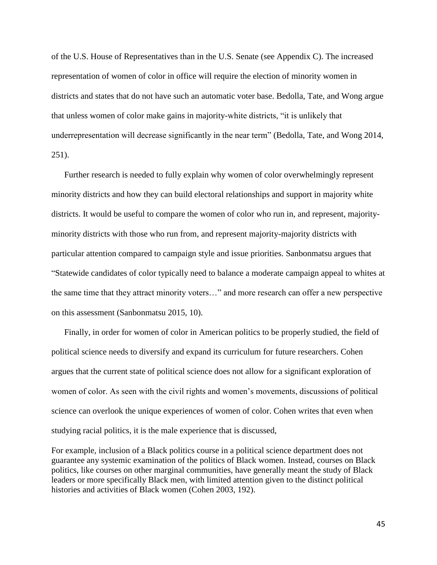of the U.S. House of Representatives than in the U.S. Senate (see Appendix C). The increased representation of women of color in office will require the election of minority women in districts and states that do not have such an automatic voter base. Bedolla, Tate, and Wong argue that unless women of color make gains in majority-white districts, "it is unlikely that underrepresentation will decrease significantly in the near term" (Bedolla, Tate, and Wong 2014, 251).

Further research is needed to fully explain why women of color overwhelmingly represent minority districts and how they can build electoral relationships and support in majority white districts. It would be useful to compare the women of color who run in, and represent, majorityminority districts with those who run from, and represent majority-majority districts with particular attention compared to campaign style and issue priorities. Sanbonmatsu argues that "Statewide candidates of color typically need to balance a moderate campaign appeal to whites at the same time that they attract minority voters…" and more research can offer a new perspective on this assessment (Sanbonmatsu 2015, 10).

Finally, in order for women of color in American politics to be properly studied, the field of political science needs to diversify and expand its curriculum for future researchers. Cohen argues that the current state of political science does not allow for a significant exploration of women of color. As seen with the civil rights and women's movements, discussions of political science can overlook the unique experiences of women of color. Cohen writes that even when studying racial politics, it is the male experience that is discussed,

For example, inclusion of a Black politics course in a political science department does not guarantee any systemic examination of the politics of Black women. Instead, courses on Black politics, like courses on other marginal communities, have generally meant the study of Black leaders or more specifically Black men, with limited attention given to the distinct political histories and activities of Black women (Cohen 2003, 192).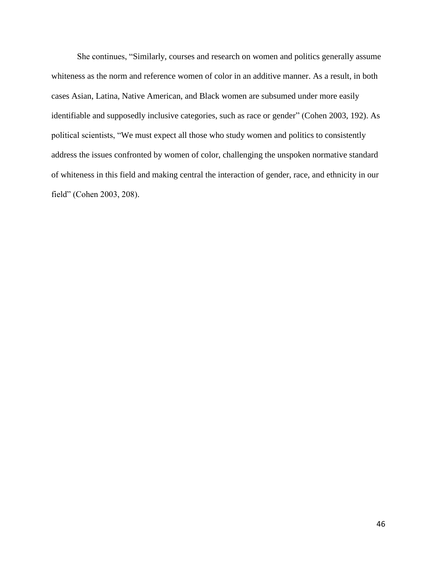She continues, "Similarly, courses and research on women and politics generally assume whiteness as the norm and reference women of color in an additive manner. As a result, in both cases Asian, Latina, Native American, and Black women are subsumed under more easily identifiable and supposedly inclusive categories, such as race or gender" (Cohen 2003, 192). As political scientists, "We must expect all those who study women and politics to consistently address the issues confronted by women of color, challenging the unspoken normative standard of whiteness in this field and making central the interaction of gender, race, and ethnicity in our field" (Cohen 2003, 208).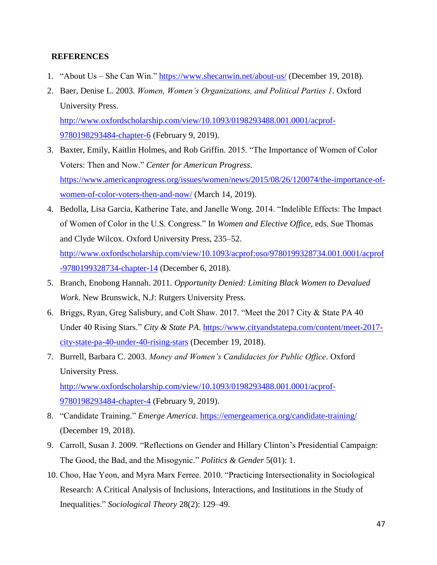#### **REFERENCES**

- 1. "About Us She Can Win."<https://www.shecanwin.net/about-us/> (December 19, 2018).
- 2. Baer, Denise L. 2003. *Women, Women's Organizations, and Political Parties 1*. Oxford University Press. [http://www.oxfordscholarship.com/view/10.1093/0198293488.001.0001/acprof-](http://www.oxfordscholarship.com/view/10.1093/0198293488.001.0001/acprof-9780198293484-chapter-6)[9780198293484-chapter-6](http://www.oxfordscholarship.com/view/10.1093/0198293488.001.0001/acprof-9780198293484-chapter-6) (February 9, 2019).
- 3. Baxter, Emily, Kaitlin Holmes, and Rob Griffin. 2015. "The Importance of Women of Color Voters: Then and Now." *Center for American Progress*. [https://www.americanprogress.org/issues/women/news/2015/08/26/120074/the-importance-of](https://www.americanprogress.org/issues/women/news/2015/08/26/120074/the-importance-of-women-of-color-voters-then-and-now/)[women-of-color-voters-then-and-now/](https://www.americanprogress.org/issues/women/news/2015/08/26/120074/the-importance-of-women-of-color-voters-then-and-now/) (March 14, 2019).
- 4. Bedolla, Lisa Garcia, Katherine Tate, and Janelle Wong. 2014. "Indelible Effects: The Impact of Women of Color in the U.S. Congress." In *Women and Elective Office*, eds. Sue Thomas and Clyde Wilcox. Oxford University Press, 235–52. [http://www.oxfordscholarship.com/view/10.1093/acprof:oso/9780199328734.001.0001/acprof](http://www.oxfordscholarship.com/view/10.1093/acprof:oso/9780199328734.001.0001/acprof-9780199328734-chapter-14) [-9780199328734-chapter-14](http://www.oxfordscholarship.com/view/10.1093/acprof:oso/9780199328734.001.0001/acprof-9780199328734-chapter-14) (December 6, 2018).
- 5. Branch, Enobong Hannah. 2011. *Opportunity Denied: Limiting Black Women to Devalued Work*. New Brunswick, N.J: Rutgers University Press.
- 6. Briggs, Ryan, Greg Salisbury, and Colt Shaw. 2017. "Meet the 2017 City & State PA 40 Under 40 Rising Stars." *City & State PA*. [https://www.cityandstatepa.com/content/meet-2017](https://www.cityandstatepa.com/content/meet-2017-city-state-pa-40-under-40-rising-stars) [city-state-pa-40-under-40-rising-stars](https://www.cityandstatepa.com/content/meet-2017-city-state-pa-40-under-40-rising-stars) (December 19, 2018).
- 7. Burrell, Barbara C. 2003. *Money and Women's Candidacies for Public Office*. Oxford University Press. [http://www.oxfordscholarship.com/view/10.1093/0198293488.001.0001/acprof-](http://www.oxfordscholarship.com/view/10.1093/0198293488.001.0001/acprof-9780198293484-chapter-4)
	- [9780198293484-chapter-4](http://www.oxfordscholarship.com/view/10.1093/0198293488.001.0001/acprof-9780198293484-chapter-4) (February 9, 2019).
- 8. "Candidate Training." *Emerge America*.<https://emergeamerica.org/candidate-training/> (December 19, 2018).
- 9. Carroll, Susan J. 2009. "Reflections on Gender and Hillary Clinton's Presidential Campaign: The Good, the Bad, and the Misogynic." *Politics & Gender* 5(01): 1.
- 10. Choo, Hae Yeon, and Myra Marx Ferree. 2010. "Practicing Intersectionality in Sociological Research: A Critical Analysis of Inclusions, Interactions, and Institutions in the Study of Inequalities." *Sociological Theory* 28(2): 129–49.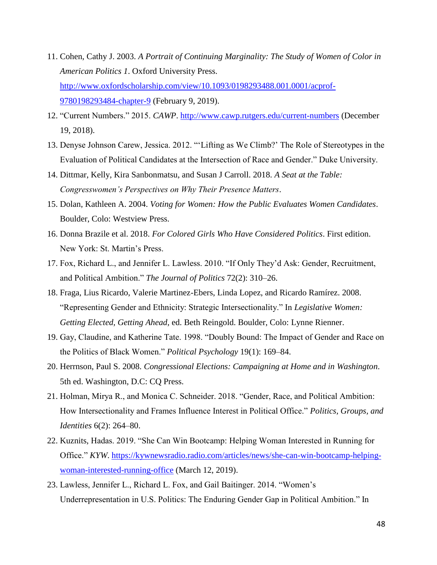- 11. Cohen, Cathy J. 2003. *A Portrait of Continuing Marginality: The Study of Women of Color in American Politics 1*. Oxford University Press. [http://www.oxfordscholarship.com/view/10.1093/0198293488.001.0001/acprof-](http://www.oxfordscholarship.com/view/10.1093/0198293488.001.0001/acprof-9780198293484-chapter-9)[9780198293484-chapter-9](http://www.oxfordscholarship.com/view/10.1093/0198293488.001.0001/acprof-9780198293484-chapter-9) (February 9, 2019).
- 12. "Current Numbers." 2015. *CAWP*.<http://www.cawp.rutgers.edu/current-numbers> (December 19, 2018).
- 13. Denyse Johnson Carew, Jessica. 2012. "'Lifting as We Climb?' The Role of Stereotypes in the Evaluation of Political Candidates at the Intersection of Race and Gender." Duke University.
- 14. Dittmar, Kelly, Kira Sanbonmatsu, and Susan J Carroll. 2018. *A Seat at the Table: Congresswomen's Perspectives on Why Their Presence Matters*.
- 15. Dolan, Kathleen A. 2004. *Voting for Women: How the Public Evaluates Women Candidates*. Boulder, Colo: Westview Press.
- 16. Donna Brazile et al. 2018. *For Colored Girls Who Have Considered Politics*. First edition. New York: St. Martin's Press.
- 17. Fox, Richard L., and Jennifer L. Lawless. 2010. "If Only They'd Ask: Gender, Recruitment, and Political Ambition." *The Journal of Politics* 72(2): 310–26.
- 18. Fraga, Lius Ricardo, Valerie Martinez-Ebers, Linda Lopez, and Ricardo Ramírez. 2008. "Representing Gender and Ethnicity: Strategic Intersectionality." In *Legislative Women: Getting Elected, Getting Ahead*, ed. Beth Reingold. Boulder, Colo: Lynne Rienner.
- 19. Gay, Claudine, and Katherine Tate. 1998. "Doubly Bound: The Impact of Gender and Race on the Politics of Black Women." *Political Psychology* 19(1): 169–84.
- 20. Herrnson, Paul S. 2008. *Congressional Elections: Campaigning at Home and in Washington*. 5th ed. Washington, D.C: CQ Press.
- 21. Holman, Mirya R., and Monica C. Schneider. 2018. "Gender, Race, and Political Ambition: How Intersectionality and Frames Influence Interest in Political Office." *Politics, Groups, and Identities* 6(2): 264–80.
- 22. Kuznits, Hadas. 2019. "She Can Win Bootcamp: Helping Woman Interested in Running for Office." *KYW*. [https://kywnewsradio.radio.com/articles/news/she-can-win-bootcamp-helping](https://kywnewsradio.radio.com/articles/news/she-can-win-bootcamp-helping-woman-interested-running-office)[woman-interested-running-office](https://kywnewsradio.radio.com/articles/news/she-can-win-bootcamp-helping-woman-interested-running-office) (March 12, 2019).
- 23. Lawless, Jennifer L., Richard L. Fox, and Gail Baitinger. 2014. "Women's Underrepresentation in U.S. Politics: The Enduring Gender Gap in Political Ambition." In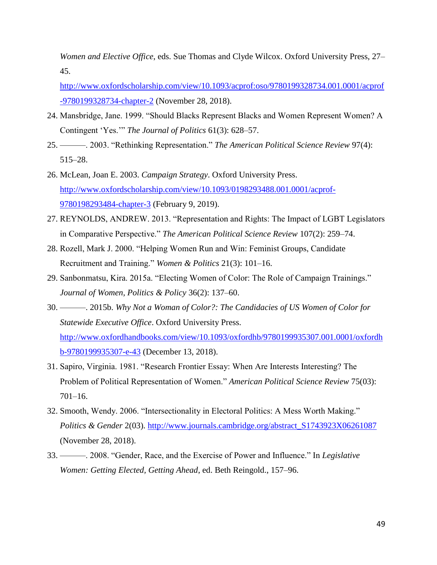*Women and Elective Office*, eds. Sue Thomas and Clyde Wilcox. Oxford University Press, 27– 45.

[http://www.oxfordscholarship.com/view/10.1093/acprof:oso/9780199328734.001.0001/acprof](http://www.oxfordscholarship.com/view/10.1093/acprof:oso/9780199328734.001.0001/acprof-9780199328734-chapter-2) [-9780199328734-chapter-2](http://www.oxfordscholarship.com/view/10.1093/acprof:oso/9780199328734.001.0001/acprof-9780199328734-chapter-2) (November 28, 2018).

- 24. Mansbridge, Jane. 1999. "Should Blacks Represent Blacks and Women Represent Women? A Contingent 'Yes.'" *The Journal of Politics* 61(3): 628–57.
- 25. ———. 2003. "Rethinking Representation." *The American Political Science Review* 97(4): 515–28.
- 26. McLean, Joan E. 2003. *Campaign Strategy*. Oxford University Press. [http://www.oxfordscholarship.com/view/10.1093/0198293488.001.0001/acprof-](http://www.oxfordscholarship.com/view/10.1093/0198293488.001.0001/acprof-9780198293484-chapter-3)[9780198293484-chapter-3](http://www.oxfordscholarship.com/view/10.1093/0198293488.001.0001/acprof-9780198293484-chapter-3) (February 9, 2019).
- 27. REYNOLDS, ANDREW. 2013. "Representation and Rights: The Impact of LGBT Legislators in Comparative Perspective." *The American Political Science Review* 107(2): 259–74.
- 28. Rozell, Mark J. 2000. "Helping Women Run and Win: Feminist Groups, Candidate Recruitment and Training." *Women & Politics* 21(3): 101–16.
- 29. Sanbonmatsu, Kira. 2015a. "Electing Women of Color: The Role of Campaign Trainings." *Journal of Women, Politics & Policy* 36(2): 137–60.
- 30. ———. 2015b. *Why Not a Woman of Color?: The Candidacies of US Women of Color for Statewide Executive Office*. Oxford University Press. [http://www.oxfordhandbooks.com/view/10.1093/oxfordhb/9780199935307.001.0001/oxfordh](http://www.oxfordhandbooks.com/view/10.1093/oxfordhb/9780199935307.001.0001/oxfordhb-9780199935307-e-43) [b-9780199935307-e-43](http://www.oxfordhandbooks.com/view/10.1093/oxfordhb/9780199935307.001.0001/oxfordhb-9780199935307-e-43) (December 13, 2018).
- 31. Sapiro, Virginia. 1981. "Research Frontier Essay: When Are Interests Interesting? The Problem of Political Representation of Women." *American Political Science Review* 75(03): 701–16.
- 32. Smooth, Wendy. 2006. "Intersectionality in Electoral Politics: A Mess Worth Making." *Politics & Gender* 2(03). [http://www.journals.cambridge.org/abstract\\_S1743923X06261087](http://www.journals.cambridge.org/abstract_S1743923X06261087) (November 28, 2018).
- 33. ———. 2008. "Gender, Race, and the Exercise of Power and Influence." In *Legislative Women: Getting Elected, Getting Ahead*, ed. Beth Reingold., 157–96.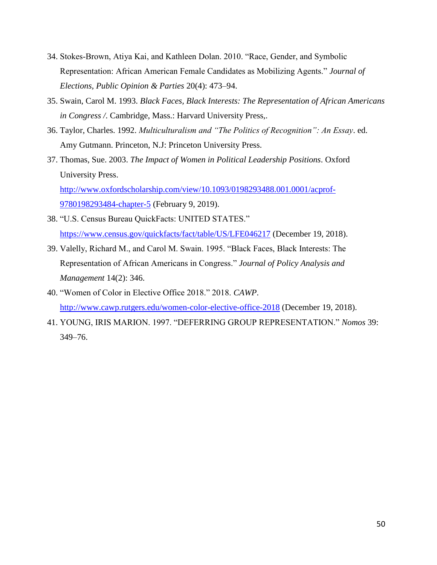- 34. Stokes‐Brown, Atiya Kai, and Kathleen Dolan. 2010. "Race, Gender, and Symbolic Representation: African American Female Candidates as Mobilizing Agents." *Journal of Elections, Public Opinion & Parties* 20(4): 473–94.
- 35. Swain, Carol M. 1993. *Black Faces, Black Interests: The Representation of African Americans in Congress /*. Cambridge, Mass.: Harvard University Press,.
- 36. Taylor, Charles. 1992. *Multiculturalism and "The Politics of Recognition": An Essay*. ed. Amy Gutmann. Princeton, N.J: Princeton University Press.
- 37. Thomas, Sue. 2003. *The Impact of Women in Political Leadership Positions*. Oxford University Press. [http://www.oxfordscholarship.com/view/10.1093/0198293488.001.0001/acprof-](http://www.oxfordscholarship.com/view/10.1093/0198293488.001.0001/acprof-9780198293484-chapter-5)[9780198293484-chapter-5](http://www.oxfordscholarship.com/view/10.1093/0198293488.001.0001/acprof-9780198293484-chapter-5) (February 9, 2019).
- 38. "U.S. Census Bureau QuickFacts: UNITED STATES." <https://www.census.gov/quickfacts/fact/table/US/LFE046217> (December 19, 2018).
- 39. Valelly, Richard M., and Carol M. Swain. 1995. "Black Faces, Black Interests: The Representation of African Americans in Congress." *Journal of Policy Analysis and Management* 14(2): 346.
- 40. "Women of Color in Elective Office 2018." 2018. *CAWP*. <http://www.cawp.rutgers.edu/women-color-elective-office-2018> (December 19, 2018).
- 41. YOUNG, IRIS MARION. 1997. "DEFERRING GROUP REPRESENTATION." *Nomos* 39: 349–76.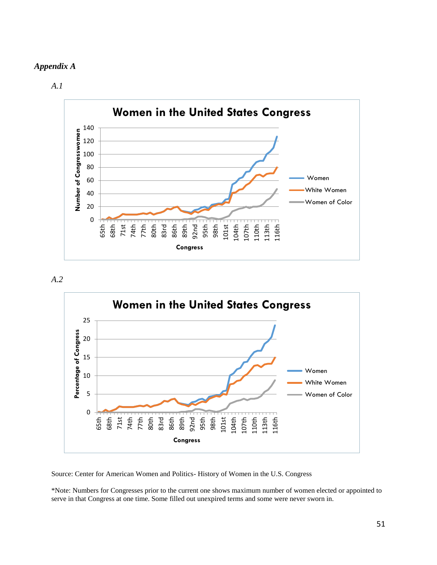#### *Appendix A*

*A.1*







Source: Center for American Women and Politics- History of Women in the U.S. Congress

\*Note: Numbers for Congresses prior to the current one shows maximum number of women elected or appointed to serve in that Congress at one time. Some filled out unexpired terms and some were never sworn in.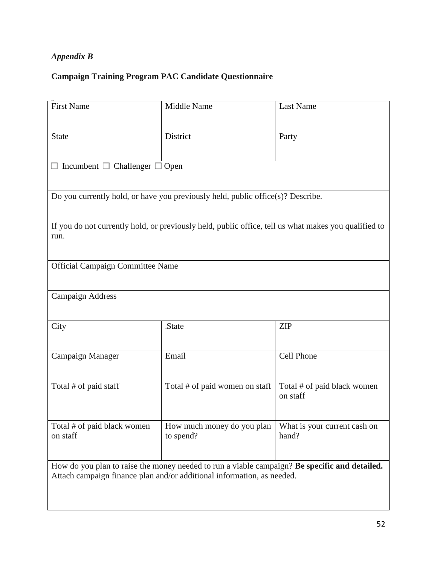## *Appendix B*

## **Campaign Training Program PAC Candidate Questionnaire**

| <b>First Name</b>                                                                                                                                                       | <b>Middle Name</b>                      | Last Name                               |  |  |
|-------------------------------------------------------------------------------------------------------------------------------------------------------------------------|-----------------------------------------|-----------------------------------------|--|--|
| <b>State</b>                                                                                                                                                            | District                                | Party                                   |  |  |
| Incumbent $\Box$ Challenger<br>Open                                                                                                                                     |                                         |                                         |  |  |
| Do you currently hold, or have you previously held, public office(s)? Describe.                                                                                         |                                         |                                         |  |  |
| If you do not currently hold, or previously held, public office, tell us what makes you qualified to<br>run.                                                            |                                         |                                         |  |  |
| Official Campaign Committee Name                                                                                                                                        |                                         |                                         |  |  |
| <b>Campaign Address</b>                                                                                                                                                 |                                         |                                         |  |  |
| City                                                                                                                                                                    | State                                   | <b>ZIP</b>                              |  |  |
| Campaign Manager                                                                                                                                                        | Email                                   | Cell Phone                              |  |  |
| Total # of paid staff                                                                                                                                                   | Total # of paid women on staff          | Total # of paid black women<br>on staff |  |  |
| Total # of paid black women<br>on staff                                                                                                                                 | How much money do you plan<br>to spend? | What is your current cash on<br>hand?   |  |  |
| How do you plan to raise the money needed to run a viable campaign? Be specific and detailed.<br>Attach campaign finance plan and/or additional information, as needed. |                                         |                                         |  |  |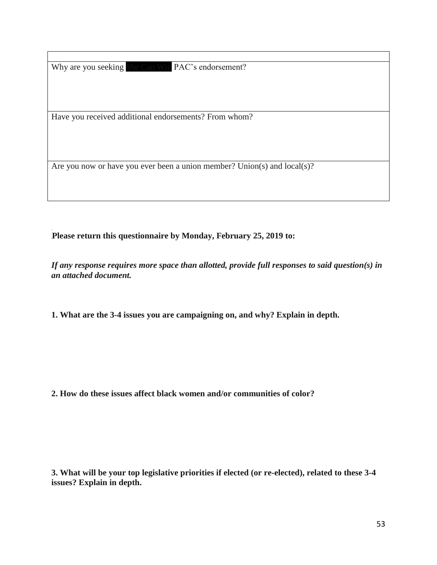Why are you seeking She Can Win PAC's endorsement?

Have you received additional endorsements? From whom?

Are you now or have you ever been a union member? Union(s) and local(s)?

**Please return this questionnaire by Monday, February 25, 2019 to:**

*If any response requires more space than allotted, provide full responses to said question(s) in an attached document.* 

**1. What are the 3-4 issues you are campaigning on, and why? Explain in depth.** 

**2. How do these issues affect black women and/or communities of color?** 

**3. What will be your top legislative priorities if elected (or re-elected), related to these 3-4 issues? Explain in depth.**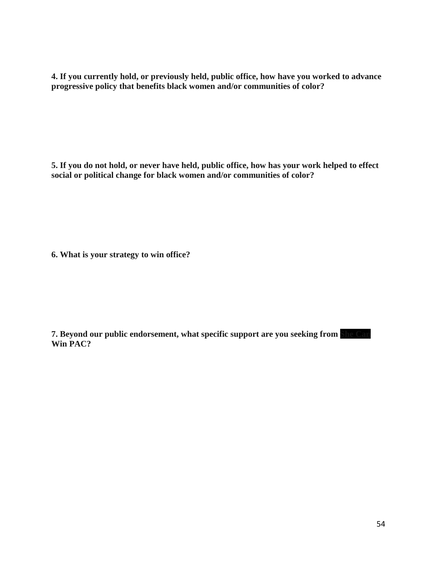**4. If you currently hold, or previously held, public office, how have you worked to advance progressive policy that benefits black women and/or communities of color?** 

**5. If you do not hold, or never have held, public office, how has your work helped to effect social or political change for black women and/or communities of color?** 

**6. What is your strategy to win office?** 

**7. Beyond our public endorsement, what specific support are you seeking from She Can Win PAC?**